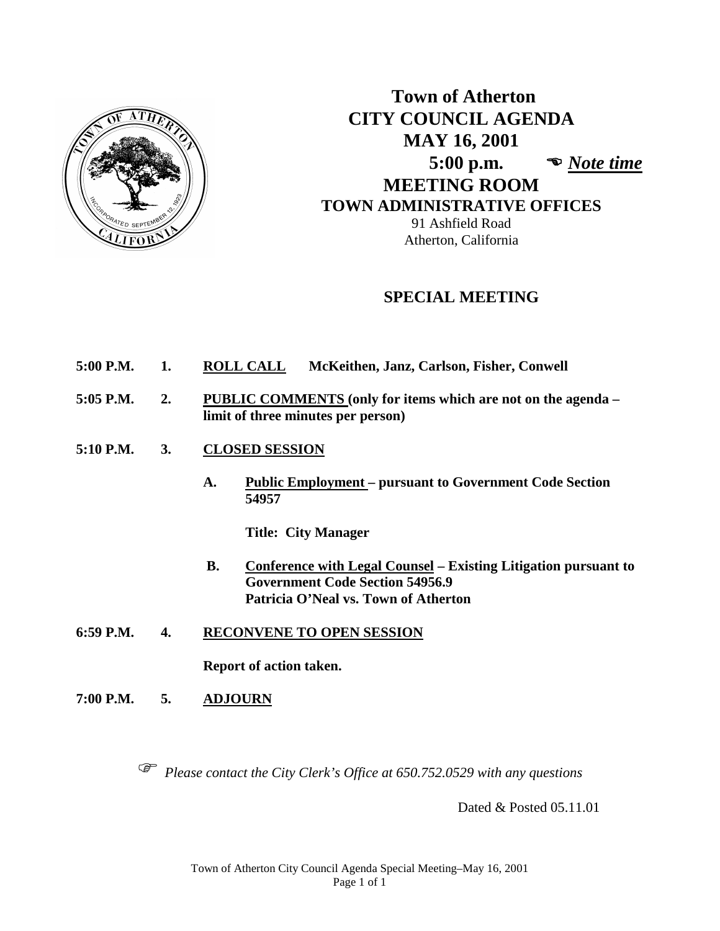

# **Town of Atherton CITY COUNCIL AGENDA MAY 16, 2001 5:00 p.m.**  *Note time*  **MEETING ROOM TOWN ADMINISTRATIVE OFFICES** 91 Ashfield Road Atherton, California

# **SPECIAL MEETING**

- **5:00 P.M. 1. ROLL CALL McKeithen, Janz, Carlson, Fisher, Conwell**
- **5:05 P.M. 2. PUBLIC COMMENTS (only for items which are not on the agenda – limit of three minutes per person)**
- **5:10 P.M. 3. CLOSED SESSION**
	- **A. Public Employment – pursuant to Government Code Section 54957**

**Title: City Manager**

- **B. Conference with Legal Counsel – Existing Litigation pursuant to Government Code Section 54956.9 Patricia O'Neal vs. Town of Atherton**
- **6:59 P.M. 4. RECONVENE TO OPEN SESSION**

**Report of action taken.**

**7:00 P.M. 5. ADJOURN**

*Please contact the City Clerk's Office at 650.752.0529 with any questions*

Dated & Posted 05.11.01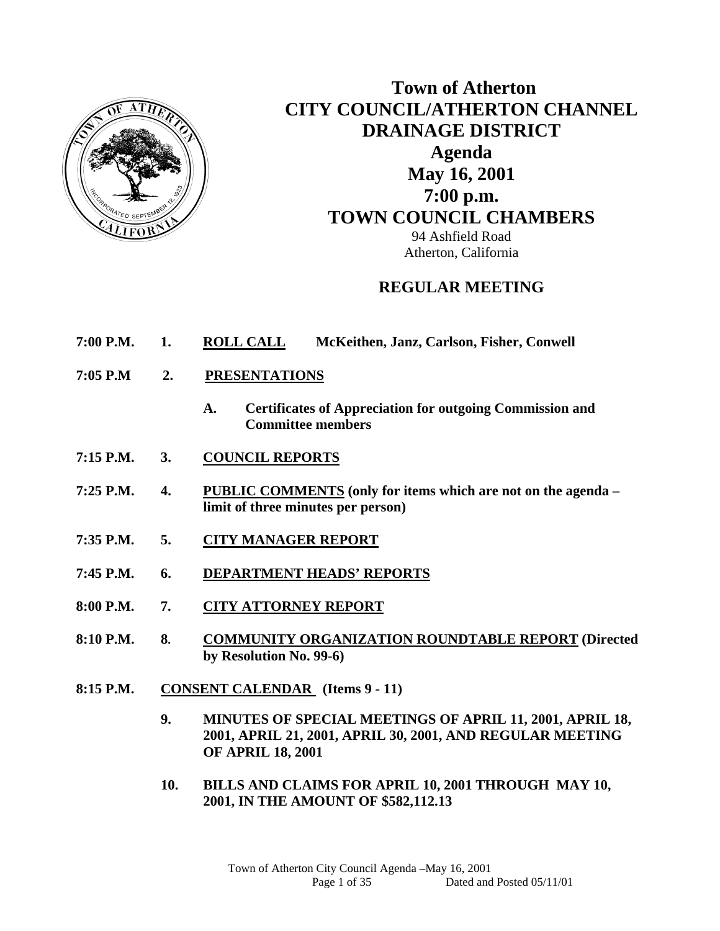

# **Town of Atherton CITY COUNCIL/ATHERTON CHANNEL DRAINAGE DISTRICT Agenda May 16, 2001 7:00 p.m. TOWN COUNCIL CHAMBERS** 94 Ashfield Road Atherton, California

# **REGULAR MEETING**

- **7:00 P.M. 1. ROLL CALL McKeithen, Janz, Carlson, Fisher, Conwell**
- **7:05 P.M 2. PRESENTATIONS** 
	- **A. Certificates of Appreciation for outgoing Commission and Committee members**
- **7:15 P.M. 3. COUNCIL REPORTS**
- **7:25 P.M. 4. PUBLIC COMMENTS (only for items which are not on the agenda limit of three minutes per person)**
- **7:35 P.M. 5. CITY MANAGER REPORT**
- **7:45 P.M. 6. DEPARTMENT HEADS' REPORTS**
- **8:00 P.M. 7. CITY ATTORNEY REPORT**
- **8:10 P.M. 8. COMMUNITY ORGANIZATION ROUNDTABLE REPORT (Directed by Resolution No. 99-6)**
- **8:15 P.M. CONSENT CALENDAR (Items 9 11)** 
	- **9. MINUTES OF SPECIAL MEETINGS OF APRIL 11, 2001, APRIL 18, 2001, APRIL 21, 2001, APRIL 30, 2001, AND REGULAR MEETING OF APRIL 18, 2001**
	- **10. BILLS AND CLAIMS FOR APRIL 10, 2001 THROUGH MAY 10, 2001, IN THE AMOUNT OF \$582,112.13**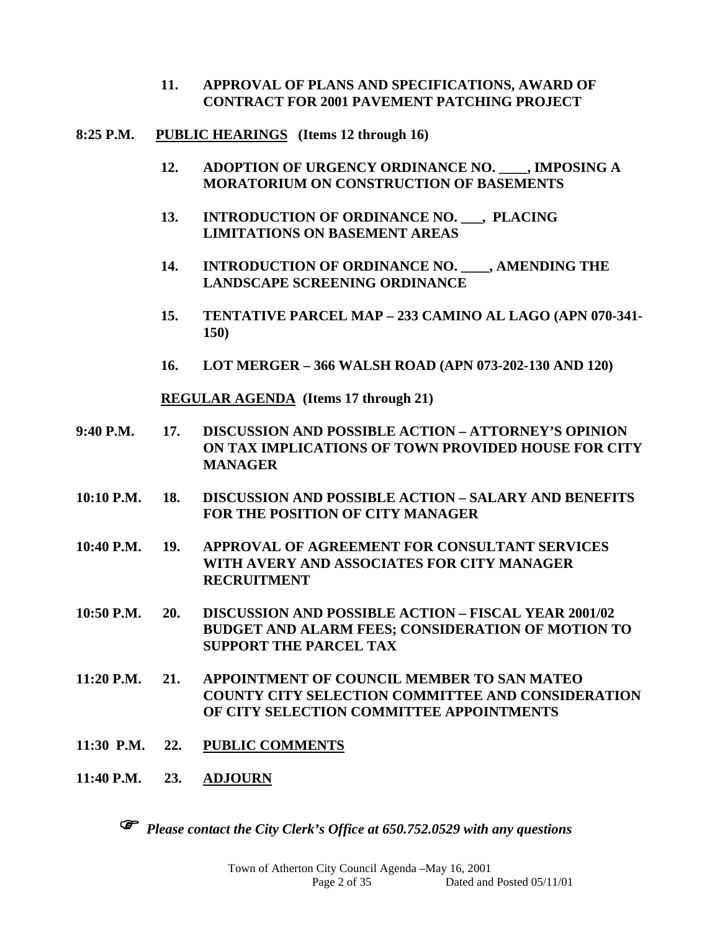- **11. APPROVAL OF PLANS AND SPECIFICATIONS, AWARD OF CONTRACT FOR 2001 PAVEMENT PATCHING PROJECT**
- **8:25 P.M. PUBLIC HEARINGS (Items 12 through 16)** 
	- **12. ADOPTION OF URGENCY ORDINANCE NO. \_\_\_\_, IMPOSING A MORATORIUM ON CONSTRUCTION OF BASEMENTS**
	- **13. INTRODUCTION OF ORDINANCE NO. \_\_\_, PLACING LIMITATIONS ON BASEMENT AREAS**
	- **14. INTRODUCTION OF ORDINANCE NO. \_\_\_\_, AMENDING THE LANDSCAPE SCREENING ORDINANCE**
	- **15. TENTATIVE PARCEL MAP 233 CAMINO AL LAGO (APN 070-341- 150)**
	- **16. LOT MERGER 366 WALSH ROAD (APN 073-202-130 AND 120)**

 **REGULAR AGENDA (Items 17 through 21)** 

- **9:40 P.M. 17. DISCUSSION AND POSSIBLE ACTION ATTORNEY'S OPINION ON TAX IMPLICATIONS OF TOWN PROVIDED HOUSE FOR CITY MANAGER**
- **10:10 P.M. 18. DISCUSSION AND POSSIBLE ACTION SALARY AND BENEFITS FOR THE POSITION OF CITY MANAGER**

**10:40 P.M. 19. APPROVAL OF AGREEMENT FOR CONSULTANT SERVICES WITH AVERY AND ASSOCIATES FOR CITY MANAGER RECRUITMENT** 

- **10:50 P.M. 20. DISCUSSION AND POSSIBLE ACTION FISCAL YEAR 2001/02 BUDGET AND ALARM FEES; CONSIDERATION OF MOTION TO SUPPORT THE PARCEL TAX**
- **11:20 P.M. 21. APPOINTMENT OF COUNCIL MEMBER TO SAN MATEO COUNTY CITY SELECTION COMMITTEE AND CONSIDERATION OF CITY SELECTION COMMITTEE APPOINTMENTS**
- **11:30 P.M. 22. PUBLIC COMMENTS**
- **11:40 P.M. 23. ADJOURN**

*Please contact the City Clerk's Office at 650.752.0529 with any questions*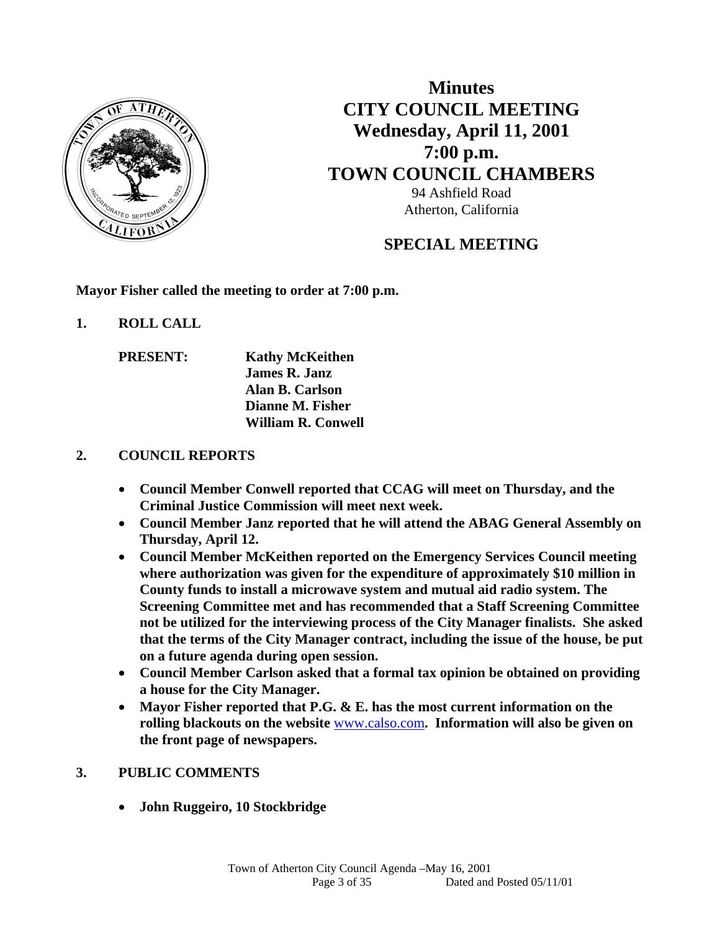

**Minutes CITY COUNCIL MEETING Wednesday, April 11, 2001 7:00 p.m. TOWN COUNCIL CHAMBERS** 94 Ashfield Road Atherton, California

# **SPECIAL MEETING**

**Mayor Fisher called the meeting to order at 7:00 p.m.** 

- **1. ROLL CALL** 
	- **PRESENT:** Kathy McKeithen  **James R. Janz Alan B. Carlson Dianne M. Fisher William R. Conwell**

## **2. COUNCIL REPORTS**

- **Council Member Conwell reported that CCAG will meet on Thursday, and the Criminal Justice Commission will meet next week.**
- **Council Member Janz reported that he will attend the ABAG General Assembly on Thursday, April 12.**
- **Council Member McKeithen reported on the Emergency Services Council meeting where authorization was given for the expenditure of approximately \$10 million in County funds to install a microwave system and mutual aid radio system. The Screening Committee met and has recommended that a Staff Screening Committee not be utilized for the interviewing process of the City Manager finalists. She asked that the terms of the City Manager contract, including the issue of the house, be put on a future agenda during open session.**
- **Council Member Carlson asked that a formal tax opinion be obtained on providing a house for the City Manager.**
- **Mayor Fisher reported that P.G. & E. has the most current information on the rolling blackouts on the website** www.calso.com**. Information will also be given on the front page of newspapers.**

## **3. PUBLIC COMMENTS**

**John Ruggeiro, 10 Stockbridge**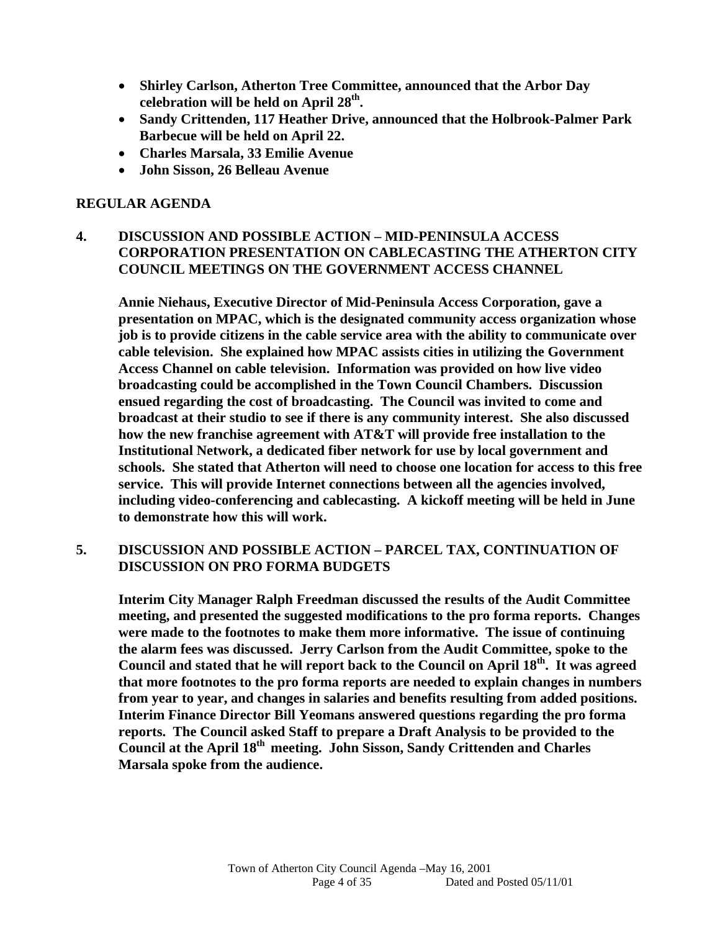- **Shirley Carlson, Atherton Tree Committee, announced that the Arbor Day celebration will be held on April 28th.**
- **Sandy Crittenden, 117 Heather Drive, announced that the Holbrook-Palmer Park Barbecue will be held on April 22.**
- **Charles Marsala, 33 Emilie Avenue**
- **John Sisson, 26 Belleau Avenue**

## **REGULAR AGENDA**

## **4. DISCUSSION AND POSSIBLE ACTION – MID-PENINSULA ACCESS CORPORATION PRESENTATION ON CABLECASTING THE ATHERTON CITY COUNCIL MEETINGS ON THE GOVERNMENT ACCESS CHANNEL**

**Annie Niehaus, Executive Director of Mid-Peninsula Access Corporation, gave a presentation on MPAC, which is the designated community access organization whose job is to provide citizens in the cable service area with the ability to communicate over cable television. She explained how MPAC assists cities in utilizing the Government Access Channel on cable television. Information was provided on how live video broadcasting could be accomplished in the Town Council Chambers. Discussion ensued regarding the cost of broadcasting. The Council was invited to come and broadcast at their studio to see if there is any community interest. She also discussed how the new franchise agreement with AT&T will provide free installation to the Institutional Network, a dedicated fiber network for use by local government and schools. She stated that Atherton will need to choose one location for access to this free service. This will provide Internet connections between all the agencies involved, including video-conferencing and cablecasting. A kickoff meeting will be held in June to demonstrate how this will work.** 

## **5. DISCUSSION AND POSSIBLE ACTION – PARCEL TAX, CONTINUATION OF DISCUSSION ON PRO FORMA BUDGETS**

**Interim City Manager Ralph Freedman discussed the results of the Audit Committee meeting, and presented the suggested modifications to the pro forma reports. Changes were made to the footnotes to make them more informative. The issue of continuing the alarm fees was discussed. Jerry Carlson from the Audit Committee, spoke to the Council and stated that he will report back to the Council on April 18th. It was agreed that more footnotes to the pro forma reports are needed to explain changes in numbers from year to year, and changes in salaries and benefits resulting from added positions. Interim Finance Director Bill Yeomans answered questions regarding the pro forma reports. The Council asked Staff to prepare a Draft Analysis to be provided to the Council at the April 18th meeting. John Sisson, Sandy Crittenden and Charles Marsala spoke from the audience.**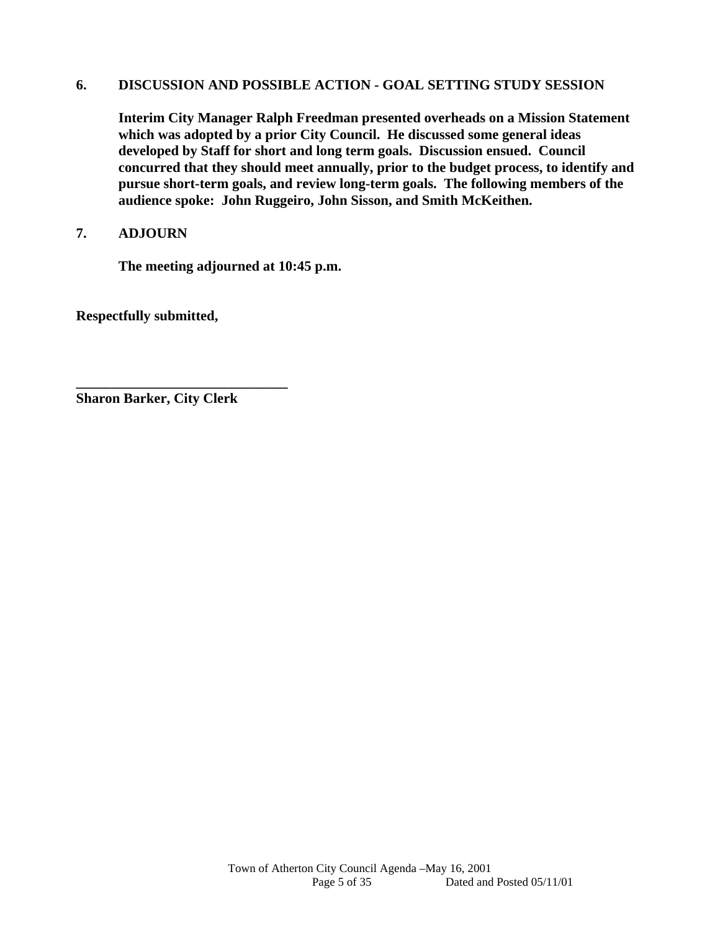#### **6. DISCUSSION AND POSSIBLE ACTION - GOAL SETTING STUDY SESSION**

**Interim City Manager Ralph Freedman presented overheads on a Mission Statement which was adopted by a prior City Council. He discussed some general ideas developed by Staff for short and long term goals. Discussion ensued. Council concurred that they should meet annually, prior to the budget process, to identify and pursue short-term goals, and review long-term goals. The following members of the audience spoke: John Ruggeiro, John Sisson, and Smith McKeithen.** 

## **7. ADJOURN**

 **The meeting adjourned at 10:45 p.m.** 

**Respectfully submitted,** 

**Sharon Barker, City Clerk** 

**\_\_\_\_\_\_\_\_\_\_\_\_\_\_\_\_\_\_\_\_\_\_\_\_\_\_\_\_\_\_**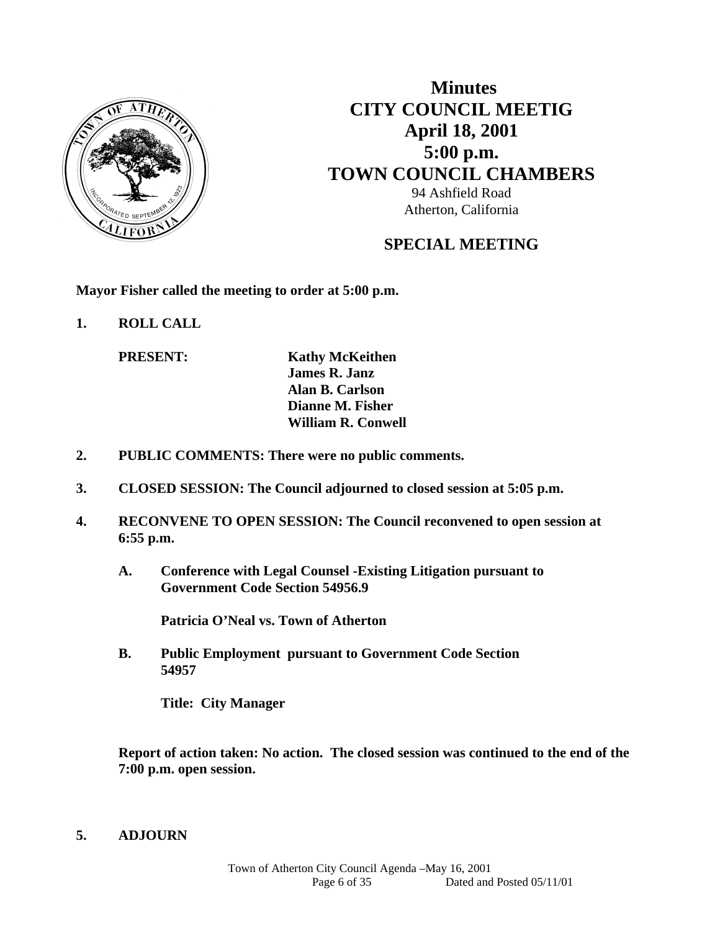

# **Minutes CITY COUNCIL MEETIG April 18, 2001 5:00 p.m. TOWN COUNCIL CHAMBERS** 94 Ashfield Road Atherton, California

# **SPECIAL MEETING**

**Mayor Fisher called the meeting to order at 5:00 p.m.** 

**1. ROLL CALL** 

**PRESENT:** Kathy McKeithen  **James R. Janz Alan B. Carlson Dianne M. Fisher William R. Conwell** 

- **2. PUBLIC COMMENTS: There were no public comments.**
- **3. CLOSED SESSION: The Council adjourned to closed session at 5:05 p.m.**
- **4. RECONVENE TO OPEN SESSION: The Council reconvened to open session at 6:55 p.m.** 
	- **A. Conference with Legal Counsel -Existing Litigation pursuant to Government Code Section 54956.9**

 **Patricia O'Neal vs. Town of Atherton** 

 **B. Public Employment pursuant to Government Code Section 54957** 

 **Title: City Manager** 

 **Report of action taken: No action. The closed session was continued to the end of the 7:00 p.m. open session.** 

#### **5. ADJOURN**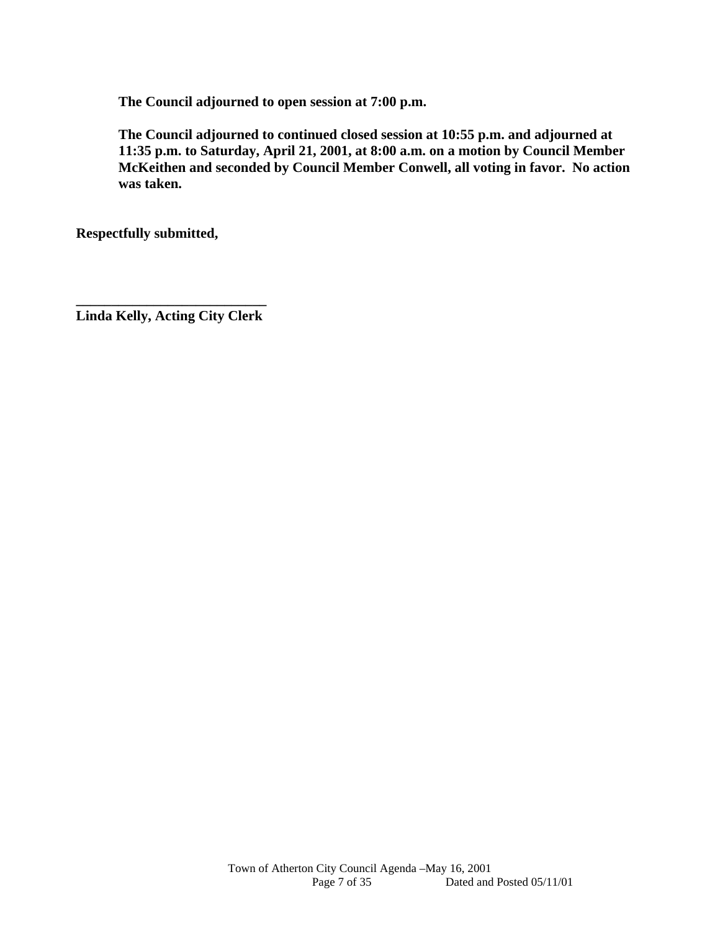**The Council adjourned to open session at 7:00 p.m.** 

 **The Council adjourned to continued closed session at 10:55 p.m. and adjourned at 11:35 p.m. to Saturday, April 21, 2001, at 8:00 a.m. on a motion by Council Member McKeithen and seconded by Council Member Conwell, all voting in favor. No action was taken.** 

**Respectfully submitted,** 

**\_\_\_\_\_\_\_\_\_\_\_\_\_\_\_\_\_\_\_\_\_\_\_\_\_\_\_ Linda Kelly, Acting City Clerk**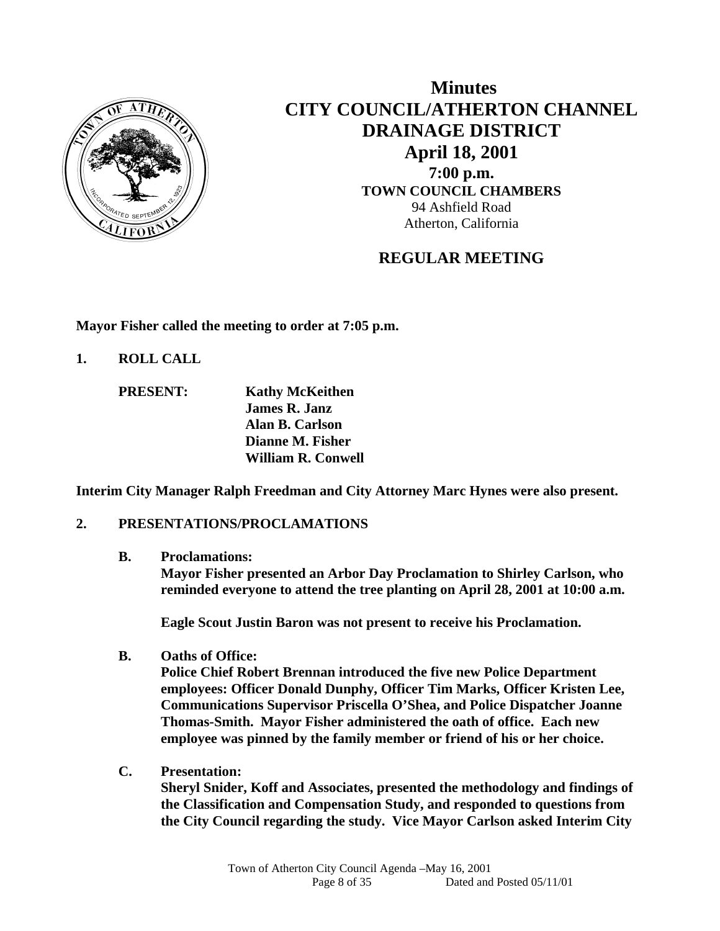

 **Minutes CITY COUNCIL/ATHERTON CHANNEL DRAINAGE DISTRICT April 18, 2001 7:00 p.m. TOWN COUNCIL CHAMBERS** 94 Ashfield Road Atherton, California

# **REGULAR MEETING**

**Mayor Fisher called the meeting to order at 7:05 p.m.** 

- **1. ROLL CALL** 
	- **PRESENT: Kathy McKeithen James R. Janz Alan B. Carlson Dianne M. Fisher William R. Conwell**

**Interim City Manager Ralph Freedman and City Attorney Marc Hynes were also present.** 

## **2. PRESENTATIONS/PROCLAMATIONS**

**B. Proclamations:** 

**Mayor Fisher presented an Arbor Day Proclamation to Shirley Carlson, who reminded everyone to attend the tree planting on April 28, 2001 at 10:00 a.m.** 

**Eagle Scout Justin Baron was not present to receive his Proclamation.** 

**B. Oaths of Office:** 

**Police Chief Robert Brennan introduced the five new Police Department employees: Officer Donald Dunphy, Officer Tim Marks, Officer Kristen Lee, Communications Supervisor Priscella O'Shea, and Police Dispatcher Joanne Thomas-Smith. Mayor Fisher administered the oath of office. Each new employee was pinned by the family member or friend of his or her choice.** 

**C. Presentation:** 

**Sheryl Snider, Koff and Associates, presented the methodology and findings of the Classification and Compensation Study, and responded to questions from the City Council regarding the study. Vice Mayor Carlson asked Interim City**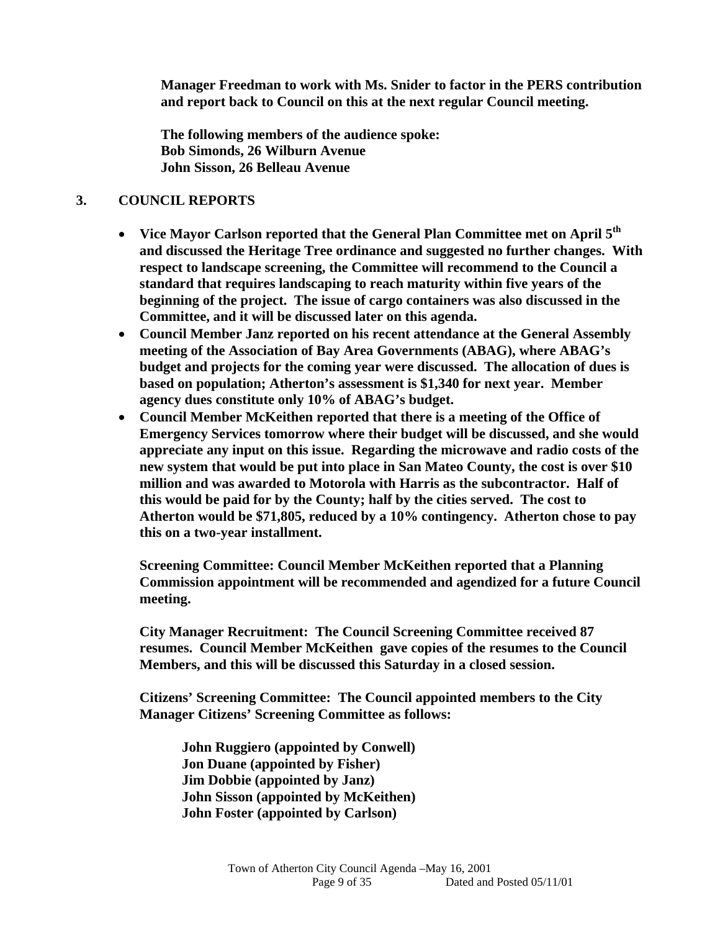**Manager Freedman to work with Ms. Snider to factor in the PERS contribution and report back to Council on this at the next regular Council meeting.** 

**The following members of the audience spoke: Bob Simonds, 26 Wilburn Avenue John Sisson, 26 Belleau Avenue** 

#### **3. COUNCIL REPORTS**

- **Vice Mayor Carlson reported that the General Plan Committee met on April 5th and discussed the Heritage Tree ordinance and suggested no further changes. With respect to landscape screening, the Committee will recommend to the Council a standard that requires landscaping to reach maturity within five years of the beginning of the project. The issue of cargo containers was also discussed in the Committee, and it will be discussed later on this agenda.**
- **Council Member Janz reported on his recent attendance at the General Assembly meeting of the Association of Bay Area Governments (ABAG), where ABAG's budget and projects for the coming year were discussed. The allocation of dues is based on population; Atherton's assessment is \$1,340 for next year. Member agency dues constitute only 10% of ABAG's budget.**
- **Council Member McKeithen reported that there is a meeting of the Office of Emergency Services tomorrow where their budget will be discussed, and she would appreciate any input on this issue. Regarding the microwave and radio costs of the new system that would be put into place in San Mateo County, the cost is over \$10 million and was awarded to Motorola with Harris as the subcontractor. Half of this would be paid for by the County; half by the cities served. The cost to Atherton would be \$71,805, reduced by a 10% contingency. Atherton chose to pay this on a two-year installment.**

**Screening Committee: Council Member McKeithen reported that a Planning Commission appointment will be recommended and agendized for a future Council meeting.** 

**City Manager Recruitment: The Council Screening Committee received 87 resumes. Council Member McKeithen gave copies of the resumes to the Council Members, and this will be discussed this Saturday in a closed session.** 

**Citizens' Screening Committee: The Council appointed members to the City Manager Citizens' Screening Committee as follows:** 

**John Ruggiero (appointed by Conwell) Jon Duane (appointed by Fisher) Jim Dobbie (appointed by Janz) John Sisson (appointed by McKeithen) John Foster (appointed by Carlson)**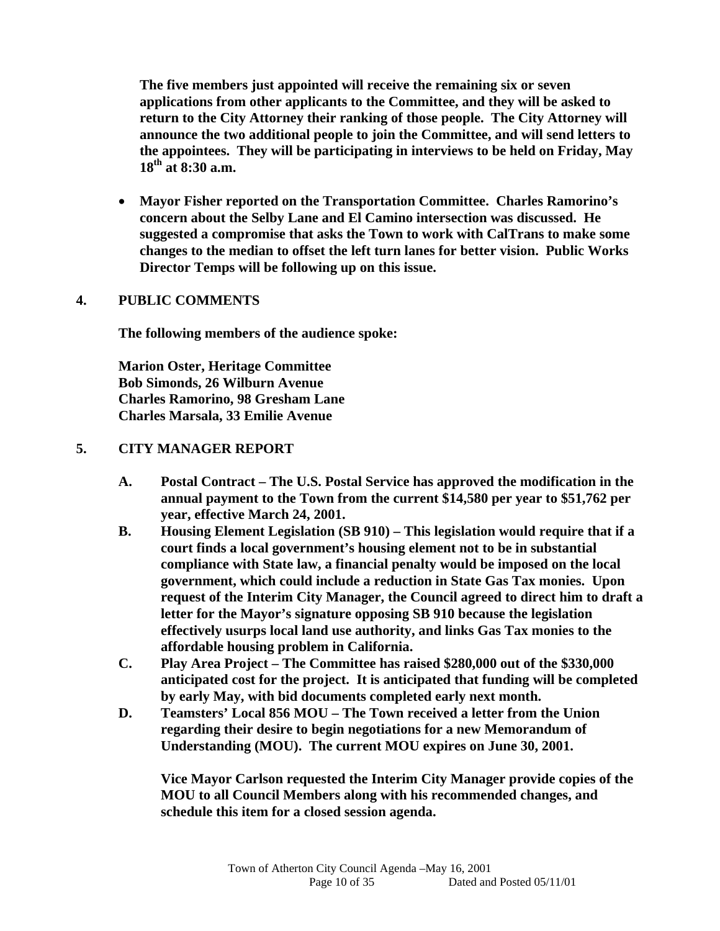**The five members just appointed will receive the remaining six or seven applications from other applicants to the Committee, and they will be asked to return to the City Attorney their ranking of those people. The City Attorney will announce the two additional people to join the Committee, and will send letters to the appointees. They will be participating in interviews to be held on Friday, May 18th at 8:30 a.m.** 

 **Mayor Fisher reported on the Transportation Committee. Charles Ramorino's concern about the Selby Lane and El Camino intersection was discussed. He suggested a compromise that asks the Town to work with CalTrans to make some changes to the median to offset the left turn lanes for better vision. Public Works Director Temps will be following up on this issue.** 

## **4. PUBLIC COMMENTS**

 **The following members of the audience spoke:** 

 **Marion Oster, Heritage Committee Bob Simonds, 26 Wilburn Avenue Charles Ramorino, 98 Gresham Lane Charles Marsala, 33 Emilie Avenue** 

## **5. CITY MANAGER REPORT**

- **A. Postal Contract The U.S. Postal Service has approved the modification in the annual payment to the Town from the current \$14,580 per year to \$51,762 per year, effective March 24, 2001.**
- **B. Housing Element Legislation (SB 910) This legislation would require that if a court finds a local government's housing element not to be in substantial compliance with State law, a financial penalty would be imposed on the local government, which could include a reduction in State Gas Tax monies. Upon request of the Interim City Manager, the Council agreed to direct him to draft a letter for the Mayor's signature opposing SB 910 because the legislation effectively usurps local land use authority, and links Gas Tax monies to the affordable housing problem in California.**
- **C. Play Area Project The Committee has raised \$280,000 out of the \$330,000 anticipated cost for the project. It is anticipated that funding will be completed by early May, with bid documents completed early next month.**
- **D. Teamsters' Local 856 MOU The Town received a letter from the Union regarding their desire to begin negotiations for a new Memorandum of Understanding (MOU). The current MOU expires on June 30, 2001.**

**Vice Mayor Carlson requested the Interim City Manager provide copies of the MOU to all Council Members along with his recommended changes, and schedule this item for a closed session agenda.**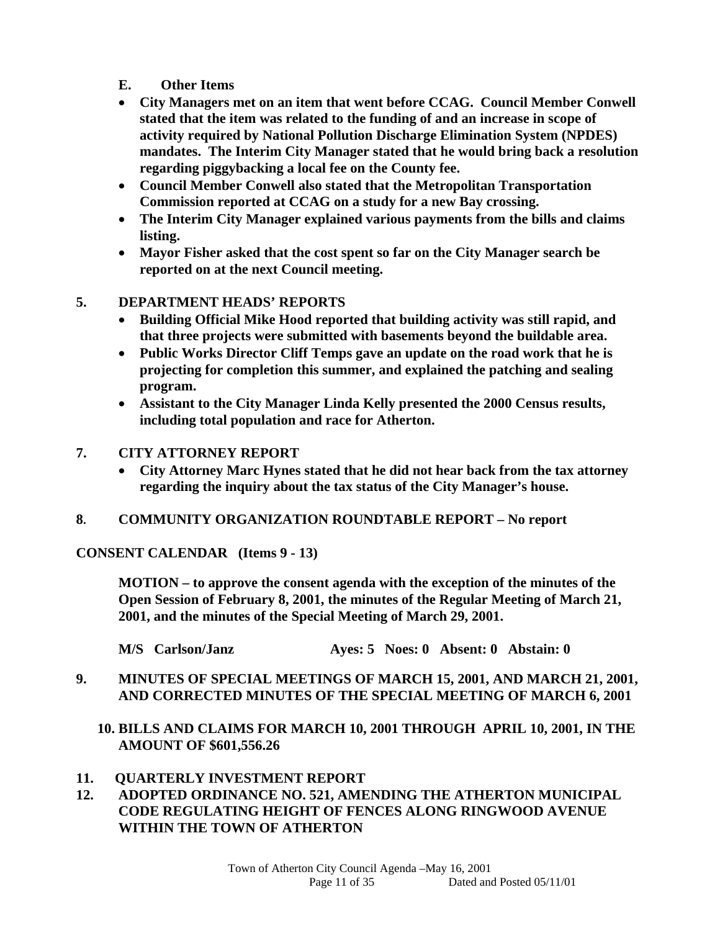- **E. Other Items**
- **City Managers met on an item that went before CCAG. Council Member Conwell stated that the item was related to the funding of and an increase in scope of activity required by National Pollution Discharge Elimination System (NPDES) mandates. The Interim City Manager stated that he would bring back a resolution regarding piggybacking a local fee on the County fee.**
- **Council Member Conwell also stated that the Metropolitan Transportation Commission reported at CCAG on a study for a new Bay crossing.**
- **The Interim City Manager explained various payments from the bills and claims listing.**
- **Mayor Fisher asked that the cost spent so far on the City Manager search be reported on at the next Council meeting.**

#### **5. DEPARTMENT HEADS' REPORTS**

- **Building Official Mike Hood reported that building activity was still rapid, and that three projects were submitted with basements beyond the buildable area.**
- **Public Works Director Cliff Temps gave an update on the road work that he is projecting for completion this summer, and explained the patching and sealing program.**
- **Assistant to the City Manager Linda Kelly presented the 2000 Census results, including total population and race for Atherton.**
- **7. CITY ATTORNEY REPORT** 
	- **City Attorney Marc Hynes stated that he did not hear back from the tax attorney regarding the inquiry about the tax status of the City Manager's house.**
- **8. COMMUNITY ORGANIZATION ROUNDTABLE REPORT No report**

**CONSENT CALENDAR (Items 9 - 13)** 

**MOTION – to approve the consent agenda with the exception of the minutes of the Open Session of February 8, 2001, the minutes of the Regular Meeting of March 21, 2001, and the minutes of the Special Meeting of March 29, 2001.** 

**M/S Carlson/Janz Ayes: 5 Noes: 0 Absent: 0 Abstain: 0** 

- **9. MINUTES OF SPECIAL MEETINGS OF MARCH 15, 2001, AND MARCH 21, 2001, AND CORRECTED MINUTES OF THE SPECIAL MEETING OF MARCH 6, 2001** 
	- **10. BILLS AND CLAIMS FOR MARCH 10, 2001 THROUGH APRIL 10, 2001, IN THE AMOUNT OF \$601,556.26**
- **11. QUARTERLY INVESTMENT REPORT**
- **12. ADOPTED ORDINANCE NO. 521, AMENDING THE ATHERTON MUNICIPAL CODE REGULATING HEIGHT OF FENCES ALONG RINGWOOD AVENUE WITHIN THE TOWN OF ATHERTON**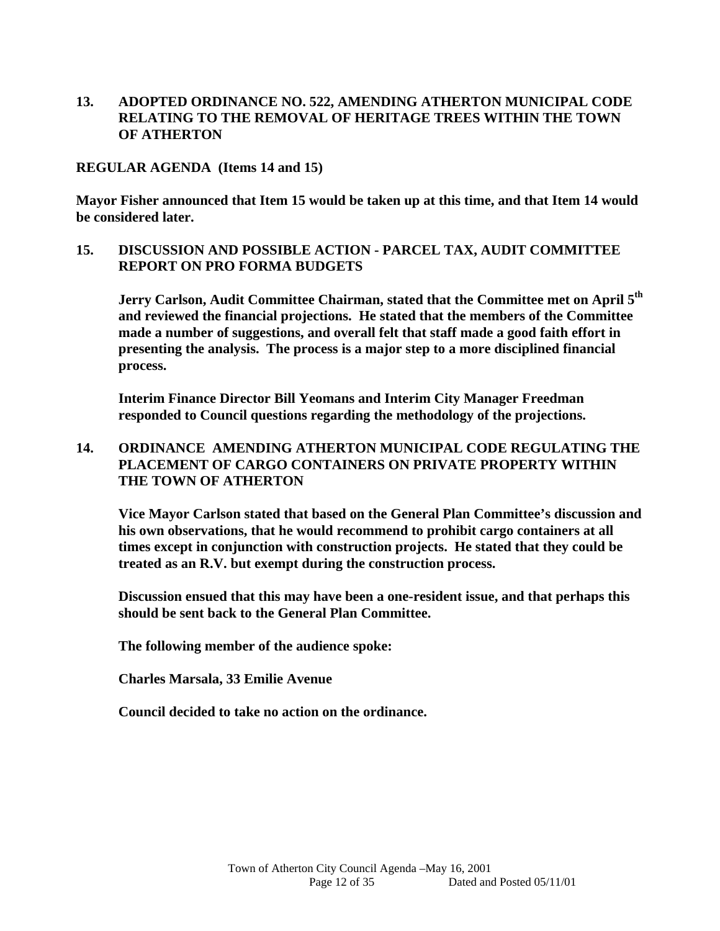## **13. ADOPTED ORDINANCE NO. 522, AMENDING ATHERTON MUNICIPAL CODE RELATING TO THE REMOVAL OF HERITAGE TREES WITHIN THE TOWN OF ATHERTON**

#### **REGULAR AGENDA (Items 14 and 15)**

**Mayor Fisher announced that Item 15 would be taken up at this time, and that Item 14 would be considered later.** 

#### **15. DISCUSSION AND POSSIBLE ACTION - PARCEL TAX, AUDIT COMMITTEE REPORT ON PRO FORMA BUDGETS**

**Jerry Carlson, Audit Committee Chairman, stated that the Committee met on April 5th and reviewed the financial projections. He stated that the members of the Committee made a number of suggestions, and overall felt that staff made a good faith effort in presenting the analysis. The process is a major step to a more disciplined financial process.** 

**Interim Finance Director Bill Yeomans and Interim City Manager Freedman responded to Council questions regarding the methodology of the projections.** 

#### **14. ORDINANCE AMENDING ATHERTON MUNICIPAL CODE REGULATING THE PLACEMENT OF CARGO CONTAINERS ON PRIVATE PROPERTY WITHIN THE TOWN OF ATHERTON**

**Vice Mayor Carlson stated that based on the General Plan Committee's discussion and his own observations, that he would recommend to prohibit cargo containers at all times except in conjunction with construction projects. He stated that they could be treated as an R.V. but exempt during the construction process.** 

**Discussion ensued that this may have been a one-resident issue, and that perhaps this should be sent back to the General Plan Committee.** 

 **The following member of the audience spoke:** 

**Charles Marsala, 33 Emilie Avenue** 

**Council decided to take no action on the ordinance.**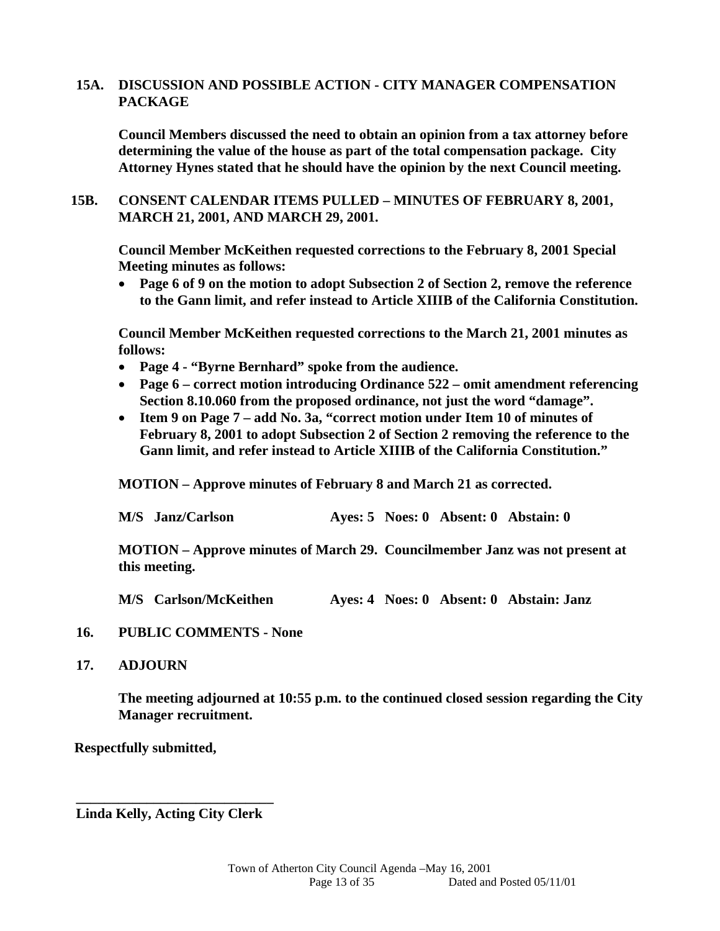#### **15A. DISCUSSION AND POSSIBLE ACTION - CITY MANAGER COMPENSATION PACKAGE**

 **Council Members discussed the need to obtain an opinion from a tax attorney before determining the value of the house as part of the total compensation package. City Attorney Hynes stated that he should have the opinion by the next Council meeting.** 

**15B. CONSENT CALENDAR ITEMS PULLED – MINUTES OF FEBRUARY 8, 2001, MARCH 21, 2001, AND MARCH 29, 2001.** 

 **Council Member McKeithen requested corrections to the February 8, 2001 Special Meeting minutes as follows:** 

 **Page 6 of 9 on the motion to adopt Subsection 2 of Section 2, remove the reference to the Gann limit, and refer instead to Article XIIIB of the California Constitution.** 

**Council Member McKeithen requested corrections to the March 21, 2001 minutes as follows:** 

- **Page 4 "Byrne Bernhard" spoke from the audience.**
- **Page 6 correct motion introducing Ordinance 522 omit amendment referencing Section 8.10.060 from the proposed ordinance, not just the word "damage".**
- **Item 9 on Page 7 add No. 3a, "correct motion under Item 10 of minutes of February 8, 2001 to adopt Subsection 2 of Section 2 removing the reference to the Gann limit, and refer instead to Article XIIIB of the California Constitution."**

**MOTION – Approve minutes of February 8 and March 21 as corrected.** 

|  | M/S Janz/Carlson |  |  |  | Ayes: 5 Noes: 0 Absent: 0 Abstain: 0 |
|--|------------------|--|--|--|--------------------------------------|
|--|------------------|--|--|--|--------------------------------------|

**MOTION – Approve minutes of March 29. Councilmember Janz was not present at this meeting.** 

**M/S Carlson/McKeithen Ayes: 4 Noes: 0 Absent: 0 Abstain: Janz** 

#### **16. PUBLIC COMMENTS - None**

#### **17. ADJOURN**

**The meeting adjourned at 10:55 p.m. to the continued closed session regarding the City Manager recruitment.** 

 **Respectfully submitted,** 

**\_\_\_\_\_\_\_\_\_\_\_\_\_\_\_\_\_\_\_\_\_\_\_\_\_\_\_\_ Linda Kelly, Acting City Clerk**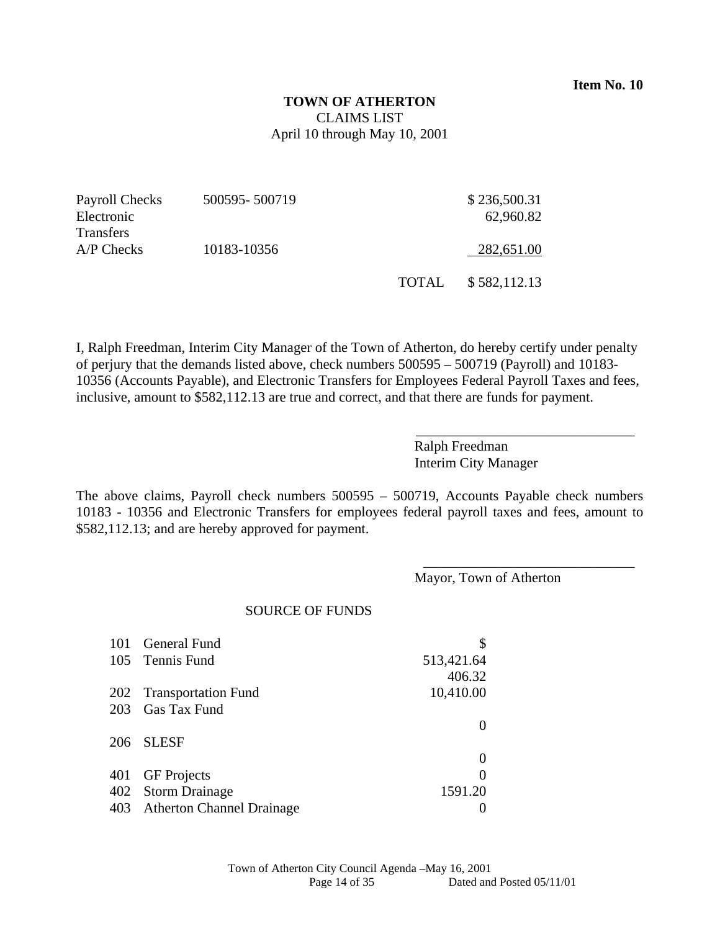## **TOWN OF ATHERTON**  CLAIMS LIST April 10 through May 10, 2001

| Payroll Checks   | 500595-500719 |              | \$236,500.31 |
|------------------|---------------|--------------|--------------|
| Electronic       |               |              | 62,960.82    |
| <b>Transfers</b> |               |              |              |
| $A/P$ Checks     | 10183-10356   |              | 282,651.00   |
|                  |               |              |              |
|                  |               | <b>TOTAL</b> | \$582,112.13 |

I, Ralph Freedman, Interim City Manager of the Town of Atherton, do hereby certify under penalty of perjury that the demands listed above, check numbers 500595 – 500719 (Payroll) and 10183- 10356 (Accounts Payable), and Electronic Transfers for Employees Federal Payroll Taxes and fees, inclusive, amount to \$582,112.13 are true and correct, and that there are funds for payment.

> Ralph Freedman Interim City Manager

\_\_\_\_\_\_\_\_\_\_\_\_\_\_\_\_\_\_\_\_\_\_\_\_\_\_\_\_\_\_\_

\_\_\_\_\_\_\_\_\_\_\_\_\_\_\_\_\_\_\_\_\_\_\_\_\_\_\_\_\_\_

The above claims, Payroll check numbers 500595 – 500719, Accounts Payable check numbers 10183 - 10356 and Electronic Transfers for employees federal payroll taxes and fees, amount to \$582,112.13; and are hereby approved for payment.

Mayor, Town of Atherton

#### SOURCE OF FUNDS

| 101 General Fund              |            |
|-------------------------------|------------|
| 105 Tennis Fund               | 513,421.64 |
|                               | 406.32     |
| 202 Transportation Fund       | 10,410.00  |
| 203 Gas Tax Fund              |            |
|                               |            |
| 206 SLESF                     |            |
|                               | $\theta$   |
| 401 GF Projects               | 0          |
| 402 Storm Drainage            | 1591.20    |
| 403 Atherton Channel Drainage |            |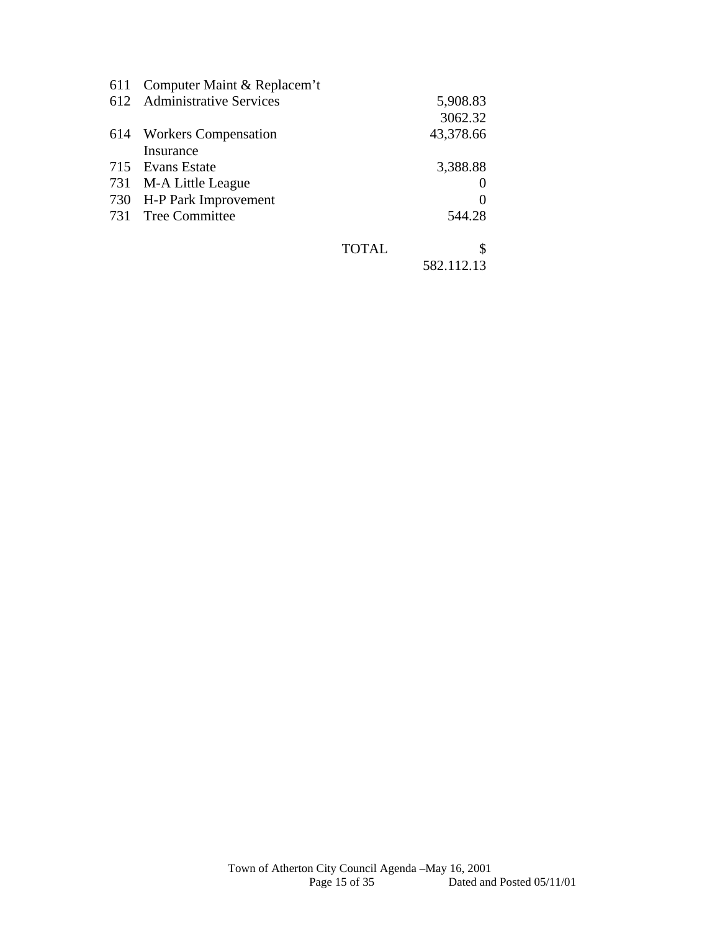|     | 611 Computer Maint & Replacem't |              |            |
|-----|---------------------------------|--------------|------------|
|     | 612 Administrative Services     |              | 5,908.83   |
|     |                                 |              | 3062.32    |
| 614 | <b>Workers Compensation</b>     |              | 43,378.66  |
|     | Insurance                       |              |            |
|     | 715 Evans Estate                |              | 3,388.88   |
|     | 731 M-A Little League           |              |            |
|     | 730 H-P Park Improvement        |              |            |
|     | 731 Tree Committee              |              | 544.28     |
|     |                                 | <b>TOTAL</b> | S          |
|     |                                 |              | 582.112.13 |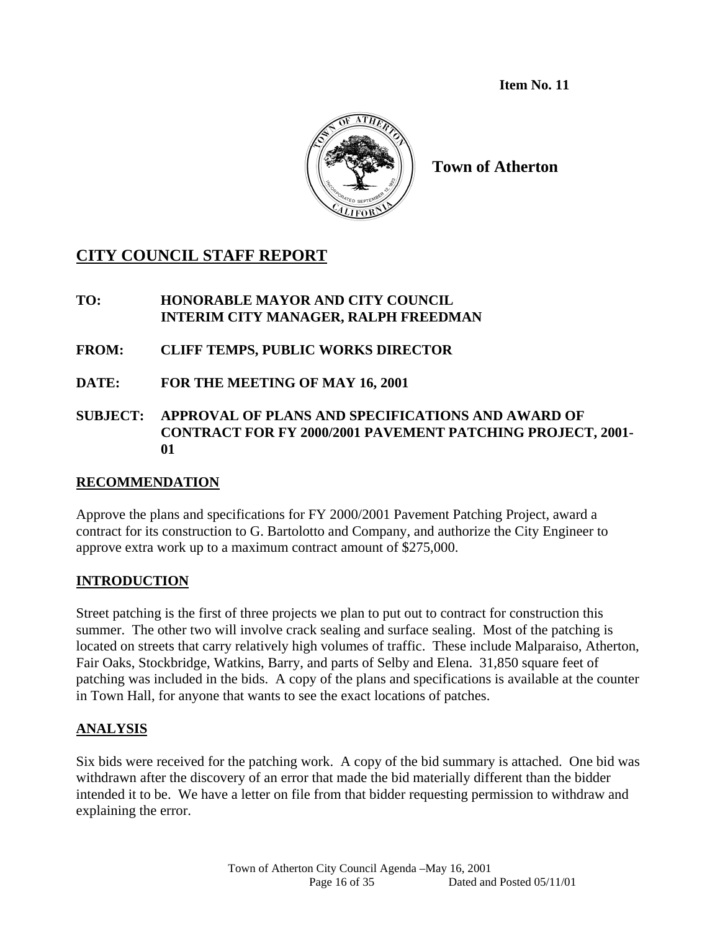**Item No. 11** 



**Town of Atherton** 

# **CITY COUNCIL STAFF REPORT**

## **TO: HONORABLE MAYOR AND CITY COUNCIL INTERIM CITY MANAGER, RALPH FREEDMAN**

- **FROM: CLIFF TEMPS, PUBLIC WORKS DIRECTOR**
- **DATE: FOR THE MEETING OF MAY 16, 2001**
- **SUBJECT: APPROVAL OF PLANS AND SPECIFICATIONS AND AWARD OF CONTRACT FOR FY 2000/2001 PAVEMENT PATCHING PROJECT, 2001- 01**

## **RECOMMENDATION**

Approve the plans and specifications for FY 2000/2001 Pavement Patching Project, award a contract for its construction to G. Bartolotto and Company, and authorize the City Engineer to approve extra work up to a maximum contract amount of \$275,000.

# **INTRODUCTION**

Street patching is the first of three projects we plan to put out to contract for construction this summer. The other two will involve crack sealing and surface sealing. Most of the patching is located on streets that carry relatively high volumes of traffic. These include Malparaiso, Atherton, Fair Oaks, Stockbridge, Watkins, Barry, and parts of Selby and Elena. 31,850 square feet of patching was included in the bids. A copy of the plans and specifications is available at the counter in Town Hall, for anyone that wants to see the exact locations of patches.

## **ANALYSIS**

Six bids were received for the patching work. A copy of the bid summary is attached. One bid was withdrawn after the discovery of an error that made the bid materially different than the bidder intended it to be. We have a letter on file from that bidder requesting permission to withdraw and explaining the error.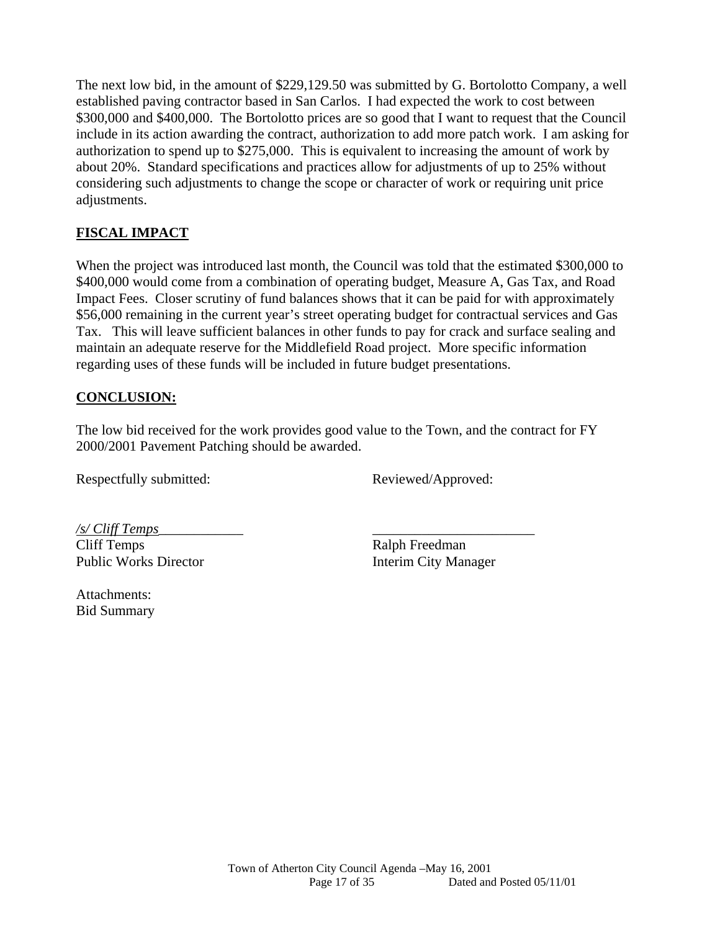The next low bid, in the amount of \$229,129.50 was submitted by G. Bortolotto Company, a well established paving contractor based in San Carlos. I had expected the work to cost between \$300,000 and \$400,000. The Bortolotto prices are so good that I want to request that the Council include in its action awarding the contract, authorization to add more patch work. I am asking for authorization to spend up to \$275,000. This is equivalent to increasing the amount of work by about 20%. Standard specifications and practices allow for adjustments of up to 25% without considering such adjustments to change the scope or character of work or requiring unit price adjustments.

# **FISCAL IMPACT**

When the project was introduced last month, the Council was told that the estimated \$300,000 to \$400,000 would come from a combination of operating budget, Measure A, Gas Tax, and Road Impact Fees. Closer scrutiny of fund balances shows that it can be paid for with approximately \$56,000 remaining in the current year's street operating budget for contractual services and Gas Tax. This will leave sufficient balances in other funds to pay for crack and surface sealing and maintain an adequate reserve for the Middlefield Road project. More specific information regarding uses of these funds will be included in future budget presentations.

# **CONCLUSION:**

The low bid received for the work provides good value to the Town, and the contract for FY 2000/2001 Pavement Patching should be awarded.

Respectfully submitted: Reviewed/Approved:

*/s/ Cliff Temps*\_\_\_\_\_\_\_\_\_\_\_\_ \_\_\_\_\_\_\_\_\_\_\_\_\_\_\_\_\_\_\_\_\_\_\_ Cliff Temps Ralph Freedman Public Works Director **Interim City Manager** 

Attachments: Bid Summary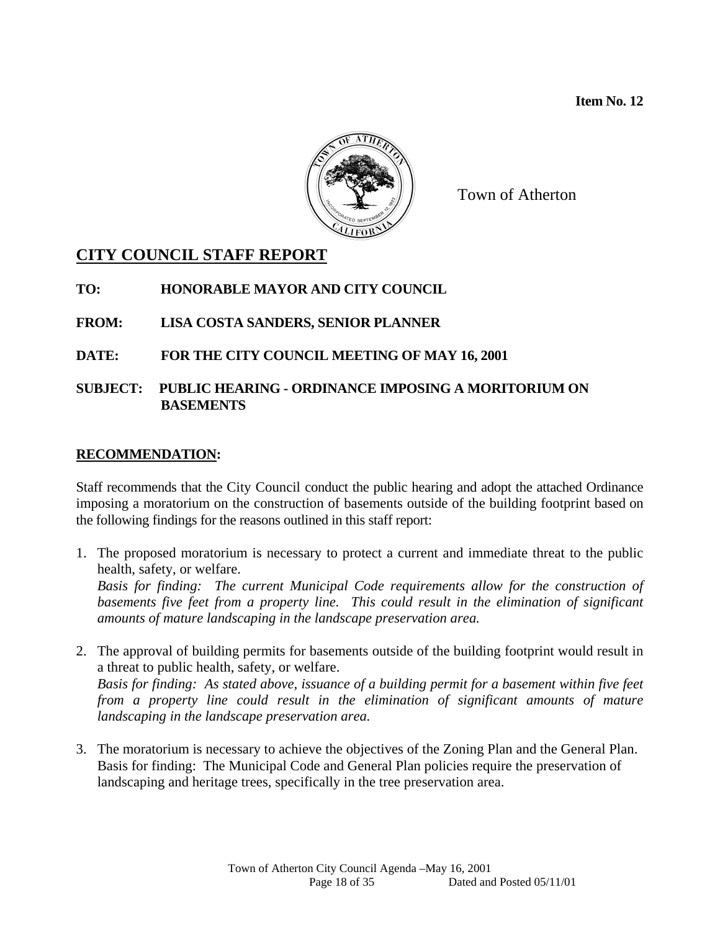**Item No. 12** 



Town of Atherton

## **CITY COUNCIL STAFF REPORT**

**TO: HONORABLE MAYOR AND CITY COUNCIL** 

#### **FROM: LISA COSTA SANDERS, SENIOR PLANNER**

#### **DATE: FOR THE CITY COUNCIL MEETING OF MAY 16, 2001**

#### **SUBJECT: PUBLIC HEARING - ORDINANCE IMPOSING A MORITORIUM ON BASEMENTS**

#### **RECOMMENDATION:**

Staff recommends that the City Council conduct the public hearing and adopt the attached Ordinance imposing a moratorium on the construction of basements outside of the building footprint based on the following findings for the reasons outlined in this staff report:

1. The proposed moratorium is necessary to protect a current and immediate threat to the public health, safety, or welfare.

*Basis for finding: The current Municipal Code requirements allow for the construction of basements five feet from a property line. This could result in the elimination of significant amounts of mature landscaping in the landscape preservation area.* 

- 2. The approval of building permits for basements outside of the building footprint would result in a threat to public health, safety, or welfare. *Basis for finding: As stated above, issuance of a building permit for a basement within five feet from a property line could result in the elimination of significant amounts of mature landscaping in the landscape preservation area.*
- 3. The moratorium is necessary to achieve the objectives of the Zoning Plan and the General Plan. Basis for finding: The Municipal Code and General Plan policies require the preservation of landscaping and heritage trees, specifically in the tree preservation area.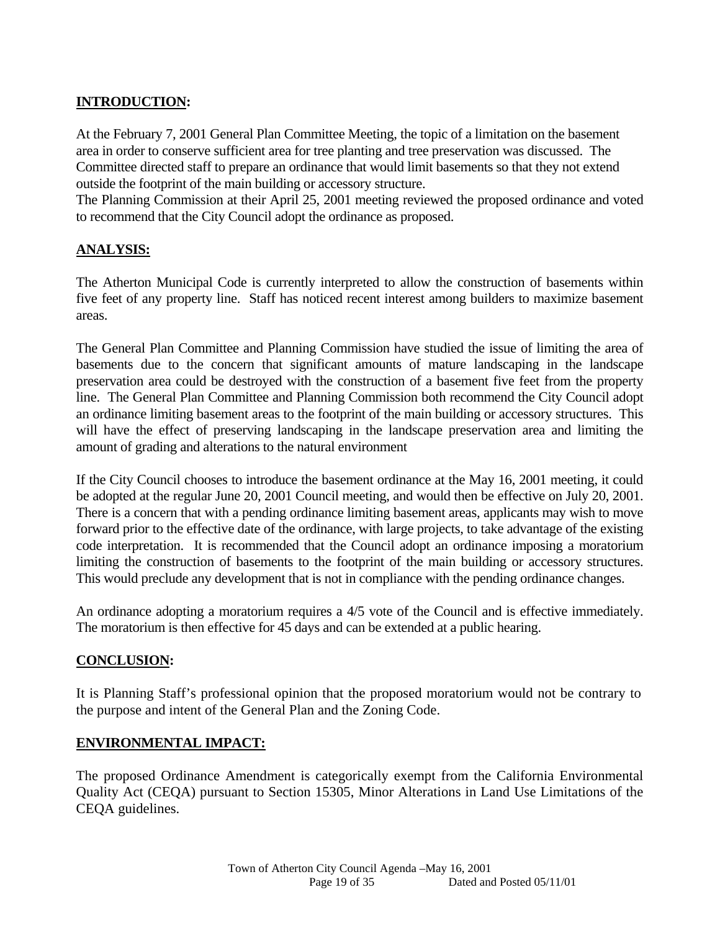## **INTRODUCTION:**

At the February 7, 2001 General Plan Committee Meeting, the topic of a limitation on the basement area in order to conserve sufficient area for tree planting and tree preservation was discussed. The Committee directed staff to prepare an ordinance that would limit basements so that they not extend outside the footprint of the main building or accessory structure.

The Planning Commission at their April 25, 2001 meeting reviewed the proposed ordinance and voted to recommend that the City Council adopt the ordinance as proposed.

#### **ANALYSIS:**

The Atherton Municipal Code is currently interpreted to allow the construction of basements within five feet of any property line. Staff has noticed recent interest among builders to maximize basement areas.

The General Plan Committee and Planning Commission have studied the issue of limiting the area of basements due to the concern that significant amounts of mature landscaping in the landscape preservation area could be destroyed with the construction of a basement five feet from the property line. The General Plan Committee and Planning Commission both recommend the City Council adopt an ordinance limiting basement areas to the footprint of the main building or accessory structures. This will have the effect of preserving landscaping in the landscape preservation area and limiting the amount of grading and alterations to the natural environment

If the City Council chooses to introduce the basement ordinance at the May 16, 2001 meeting, it could be adopted at the regular June 20, 2001 Council meeting, and would then be effective on July 20, 2001. There is a concern that with a pending ordinance limiting basement areas, applicants may wish to move forward prior to the effective date of the ordinance, with large projects, to take advantage of the existing code interpretation. It is recommended that the Council adopt an ordinance imposing a moratorium limiting the construction of basements to the footprint of the main building or accessory structures. This would preclude any development that is not in compliance with the pending ordinance changes.

An ordinance adopting a moratorium requires a 4/5 vote of the Council and is effective immediately. The moratorium is then effective for 45 days and can be extended at a public hearing.

#### **CONCLUSION:**

It is Planning Staff's professional opinion that the proposed moratorium would not be contrary to the purpose and intent of the General Plan and the Zoning Code.

#### **ENVIRONMENTAL IMPACT:**

The proposed Ordinance Amendment is categorically exempt from the California Environmental Quality Act (CEQA) pursuant to Section 15305, Minor Alterations in Land Use Limitations of the CEQA guidelines.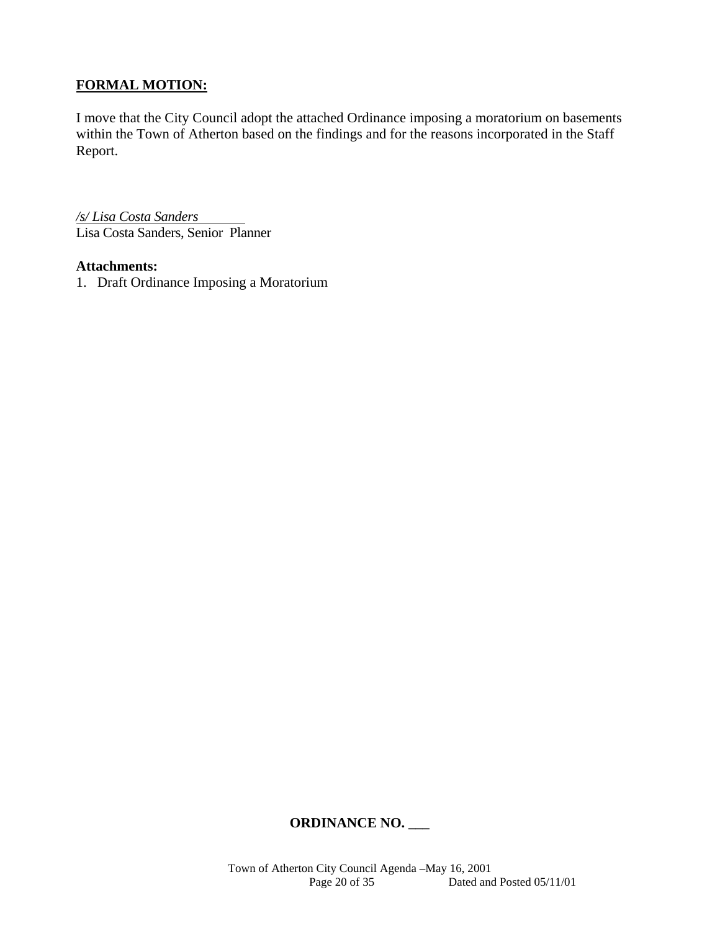## **FORMAL MOTION:**

I move that the City Council adopt the attached Ordinance imposing a moratorium on basements within the Town of Atherton based on the findings and for the reasons incorporated in the Staff Report.

*/s/ Lisa Costa Sanders* Lisa Costa Sanders, Senior Planner

#### **Attachments:**

1. Draft Ordinance Imposing a Moratorium

#### **ORDINANCE NO. \_\_\_**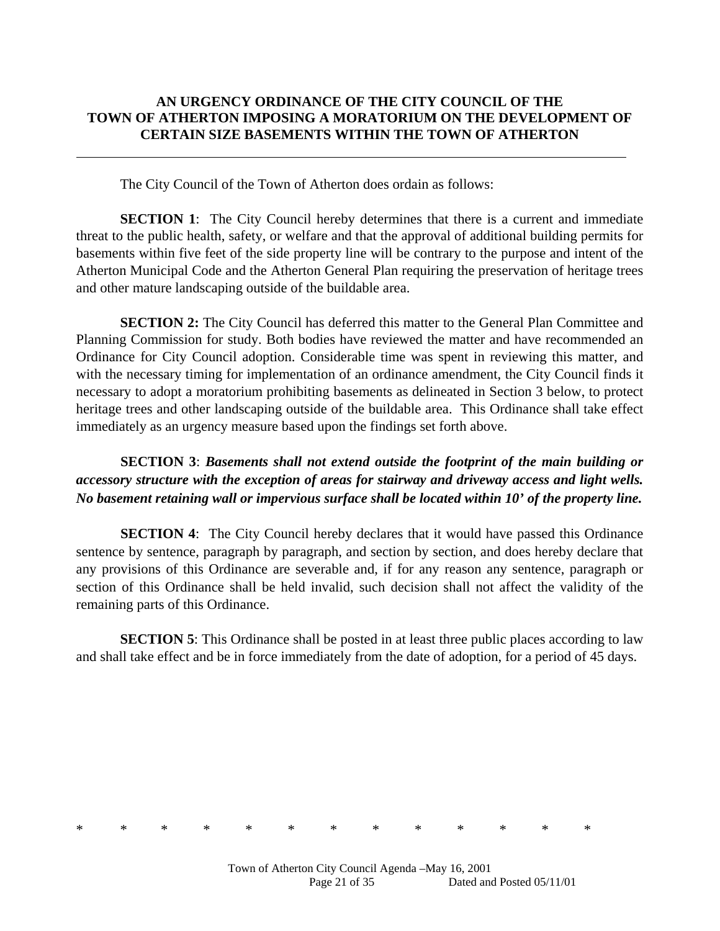## **AN URGENCY ORDINANCE OF THE CITY COUNCIL OF THE TOWN OF ATHERTON IMPOSING A MORATORIUM ON THE DEVELOPMENT OF CERTAIN SIZE BASEMENTS WITHIN THE TOWN OF ATHERTON**

The City Council of the Town of Atherton does ordain as follows:

 $\overline{a}$ 

**SECTION 1**: The City Council hereby determines that there is a current and immediate threat to the public health, safety, or welfare and that the approval of additional building permits for basements within five feet of the side property line will be contrary to the purpose and intent of the Atherton Municipal Code and the Atherton General Plan requiring the preservation of heritage trees and other mature landscaping outside of the buildable area.

**SECTION 2:** The City Council has deferred this matter to the General Plan Committee and Planning Commission for study. Both bodies have reviewed the matter and have recommended an Ordinance for City Council adoption. Considerable time was spent in reviewing this matter, and with the necessary timing for implementation of an ordinance amendment, the City Council finds it necessary to adopt a moratorium prohibiting basements as delineated in Section 3 below, to protect heritage trees and other landscaping outside of the buildable area. This Ordinance shall take effect immediately as an urgency measure based upon the findings set forth above.

# **SECTION 3**: *Basements shall not extend outside the footprint of the main building or accessory structure with the exception of areas for stairway and driveway access and light wells. No basement retaining wall or impervious surface shall be located within 10' of the property line.*

**SECTION 4:** The City Council hereby declares that it would have passed this Ordinance sentence by sentence, paragraph by paragraph, and section by section, and does hereby declare that any provisions of this Ordinance are severable and, if for any reason any sentence, paragraph or section of this Ordinance shall be held invalid, such decision shall not affect the validity of the remaining parts of this Ordinance.

**SECTION 5**: This Ordinance shall be posted in at least three public places according to law and shall take effect and be in force immediately from the date of adoption, for a period of 45 days.

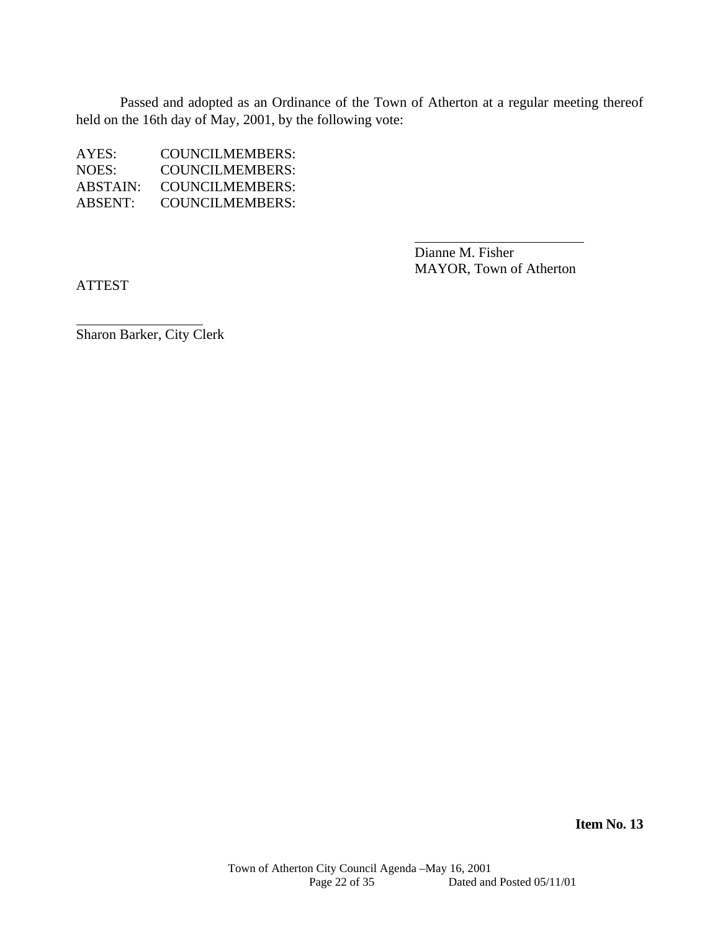Passed and adopted as an Ordinance of the Town of Atherton at a regular meeting thereof held on the 16th day of May, 2001, by the following vote:

| AYES:    | COUNCILMEMBERS:        |
|----------|------------------------|
| NOES:    | COUNCILMEMBERS:        |
| ABSTAIN: | <b>COUNCILMEMBERS:</b> |
| ABSENT:  | COUNCILMEMBERS:        |

Dianne M. Fisher MAYOR, Town of Atherton

ATTEST

 $\overline{a}$ 

Sharon Barker, City Clerk

**Item No. 13**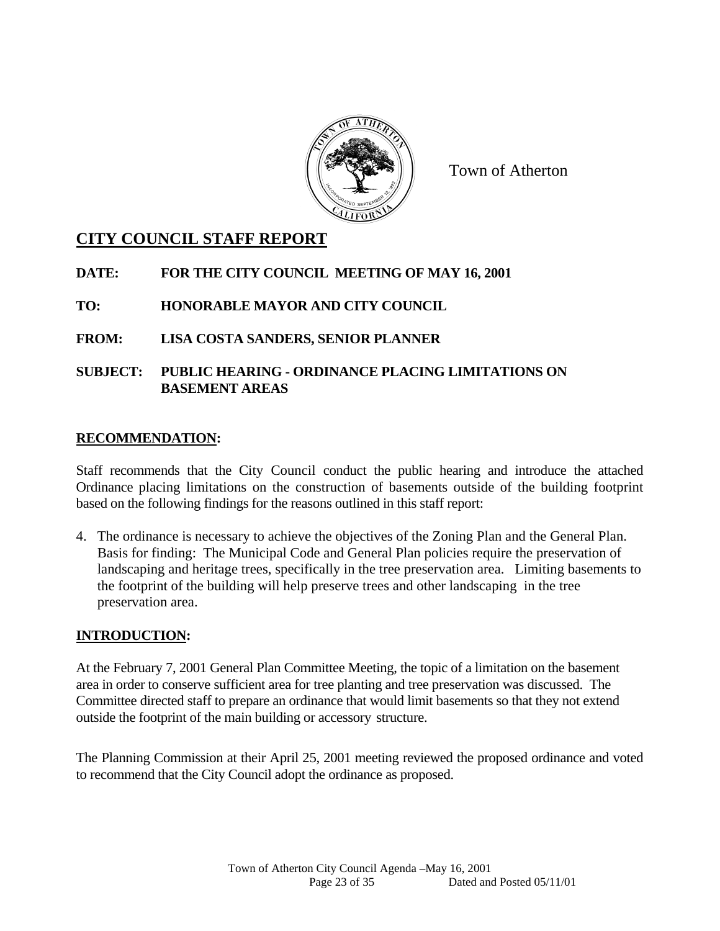

Town of Atherton

# **CITY COUNCIL STAFF REPORT**

**DATE: FOR THE CITY COUNCIL MEETING OF MAY 16, 2001** 

**TO: HONORABLE MAYOR AND CITY COUNCIL** 

**FROM: LISA COSTA SANDERS, SENIOR PLANNER** 

## **SUBJECT: PUBLIC HEARING - ORDINANCE PLACING LIMITATIONS ON BASEMENT AREAS**

## **RECOMMENDATION:**

Staff recommends that the City Council conduct the public hearing and introduce the attached Ordinance placing limitations on the construction of basements outside of the building footprint based on the following findings for the reasons outlined in this staff report:

4. The ordinance is necessary to achieve the objectives of the Zoning Plan and the General Plan. Basis for finding: The Municipal Code and General Plan policies require the preservation of landscaping and heritage trees, specifically in the tree preservation area. Limiting basements to the footprint of the building will help preserve trees and other landscaping in the tree preservation area.

## **INTRODUCTION:**

At the February 7, 2001 General Plan Committee Meeting, the topic of a limitation on the basement area in order to conserve sufficient area for tree planting and tree preservation was discussed. The Committee directed staff to prepare an ordinance that would limit basements so that they not extend outside the footprint of the main building or accessory structure.

The Planning Commission at their April 25, 2001 meeting reviewed the proposed ordinance and voted to recommend that the City Council adopt the ordinance as proposed.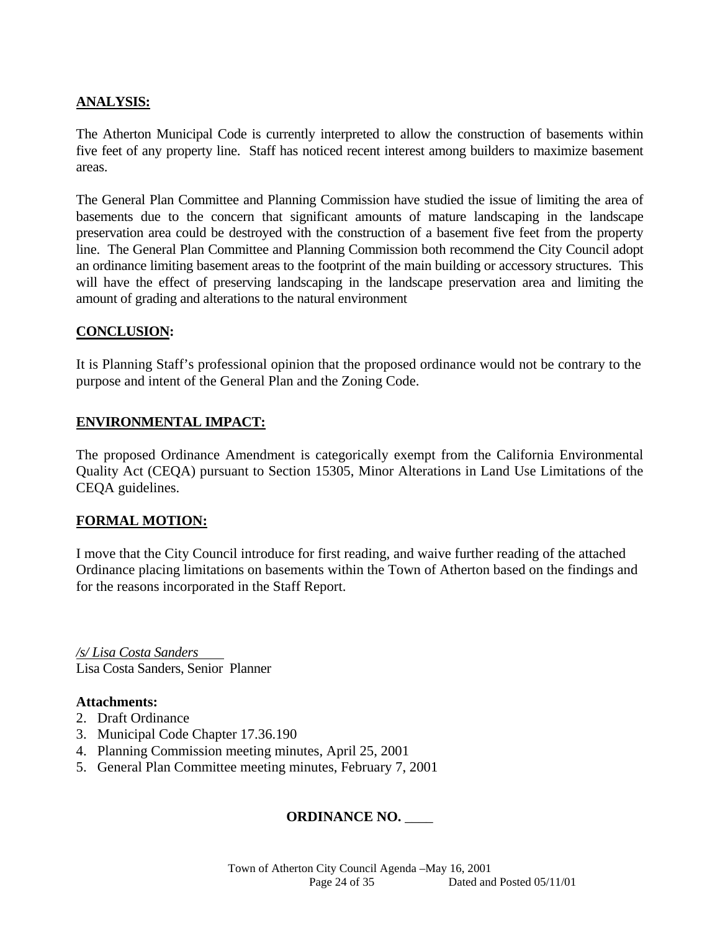#### **ANALYSIS:**

The Atherton Municipal Code is currently interpreted to allow the construction of basements within five feet of any property line. Staff has noticed recent interest among builders to maximize basement areas.

The General Plan Committee and Planning Commission have studied the issue of limiting the area of basements due to the concern that significant amounts of mature landscaping in the landscape preservation area could be destroyed with the construction of a basement five feet from the property line. The General Plan Committee and Planning Commission both recommend the City Council adopt an ordinance limiting basement areas to the footprint of the main building or accessory structures. This will have the effect of preserving landscaping in the landscape preservation area and limiting the amount of grading and alterations to the natural environment

#### **CONCLUSION:**

It is Planning Staff's professional opinion that the proposed ordinance would not be contrary to the purpose and intent of the General Plan and the Zoning Code.

#### **ENVIRONMENTAL IMPACT:**

The proposed Ordinance Amendment is categorically exempt from the California Environmental Quality Act (CEQA) pursuant to Section 15305, Minor Alterations in Land Use Limitations of the CEQA guidelines.

#### **FORMAL MOTION:**

I move that the City Council introduce for first reading, and waive further reading of the attached Ordinance placing limitations on basements within the Town of Atherton based on the findings and for the reasons incorporated in the Staff Report.

*/s/ Lisa Costa Sanders* Lisa Costa Sanders, Senior Planner

#### **Attachments:**

- 2. Draft Ordinance
- 3. Municipal Code Chapter 17.36.190
- 4. Planning Commission meeting minutes, April 25, 2001
- 5. General Plan Committee meeting minutes, February 7, 2001

## **ORDINANCE NO.** \_\_\_\_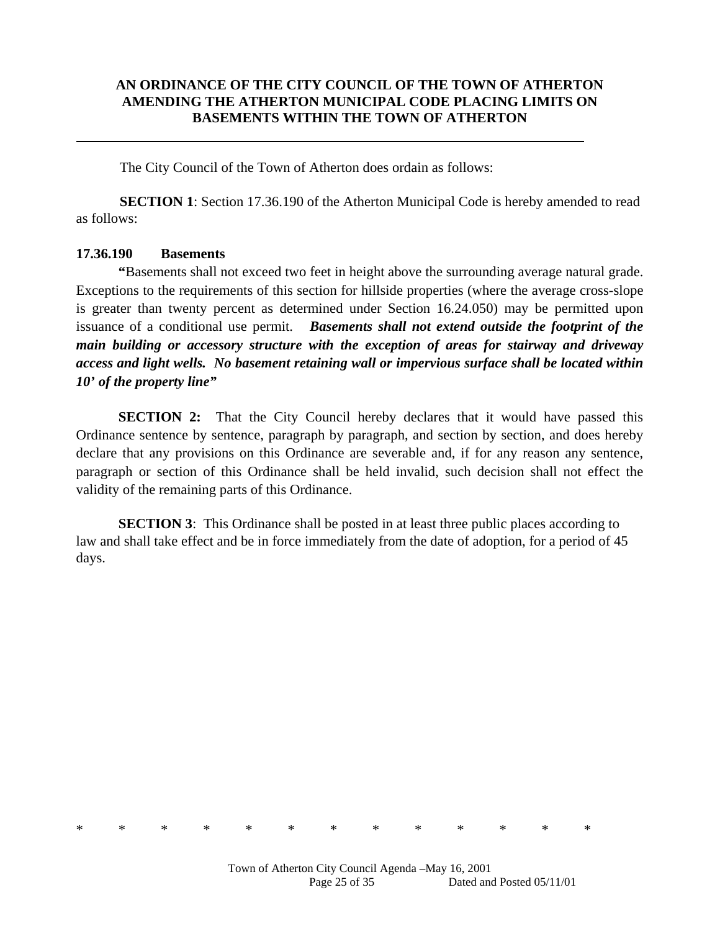#### **AN ORDINANCE OF THE CITY COUNCIL OF THE TOWN OF ATHERTON AMENDING THE ATHERTON MUNICIPAL CODE PLACING LIMITS ON BASEMENTS WITHIN THE TOWN OF ATHERTON**

The City Council of the Town of Atherton does ordain as follows:

**SECTION 1**: Section 17.36.190 of the Atherton Municipal Code is hereby amended to read as follows:

#### **17.36.190 Basements**

 **"**Basements shall not exceed two feet in height above the surrounding average natural grade. Exceptions to the requirements of this section for hillside properties (where the average cross-slope is greater than twenty percent as determined under Section 16.24.050) may be permitted upon issuance of a conditional use permit. *Basements shall not extend outside the footprint of the main building or accessory structure with the exception of areas for stairway and driveway access and light wells. No basement retaining wall or impervious surface shall be located within 10' of the property line"* 

**SECTION 2:** That the City Council hereby declares that it would have passed this Ordinance sentence by sentence, paragraph by paragraph, and section by section, and does hereby declare that any provisions on this Ordinance are severable and, if for any reason any sentence, paragraph or section of this Ordinance shall be held invalid, such decision shall not effect the validity of the remaining parts of this Ordinance.

**SECTION 3**: This Ordinance shall be posted in at least three public places according to law and shall take effect and be in force immediately from the date of adoption, for a period of 45 days.

\* \* \* \* \* \* \* \* \* \* \* \* \*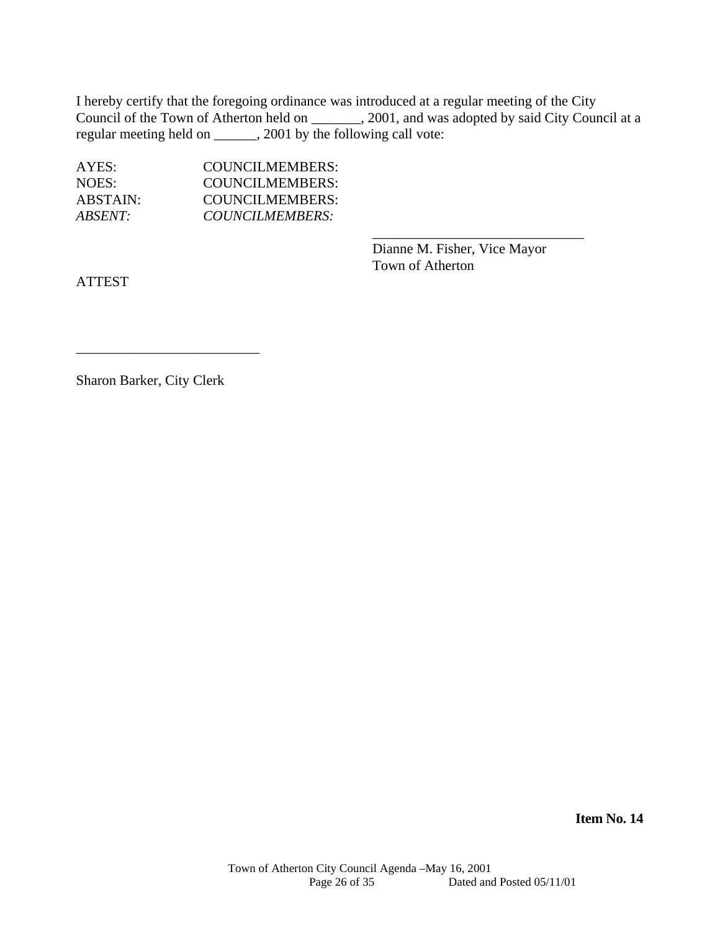I hereby certify that the foregoing ordinance was introduced at a regular meeting of the City Council of the Town of Atherton held on \_\_\_\_\_\_\_, 2001, and was adopted by said City Council at a regular meeting held on \_\_\_\_\_\_, 2001 by the following call vote:

 $\overline{\phantom{a}}$  , and the contract of the contract of the contract of the contract of the contract of the contract of the contract of the contract of the contract of the contract of the contract of the contract of the contrac

| AYES:    | <b>COUNCILMEMBERS:</b> |
|----------|------------------------|
| NOES:    | <b>COUNCILMEMBERS:</b> |
| ABSTAIN: | COUNCILMEMBERS:        |
| ABSENT:  | COUNCILMEMBERS:        |

 Dianne M. Fisher, Vice Mayor Town of Atherton

ATTEST

Sharon Barker, City Clerk

\_\_\_\_\_\_\_\_\_\_\_\_\_\_\_\_\_\_\_\_\_\_\_\_\_\_

**Item No. 14**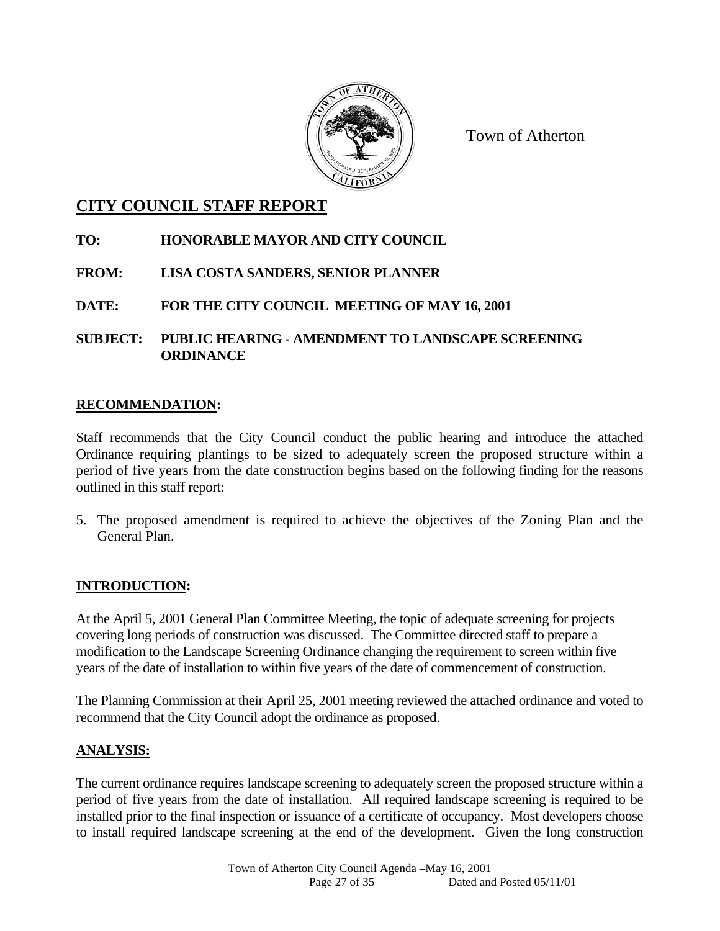

Town of Atherton

# **CITY COUNCIL STAFF REPORT**

# **TO: HONORABLE MAYOR AND CITY COUNCIL**

# **FROM: LISA COSTA SANDERS, SENIOR PLANNER**

**DATE: FOR THE CITY COUNCIL MEETING OF MAY 16, 2001** 

**SUBJECT: PUBLIC HEARING - AMENDMENT TO LANDSCAPE SCREENING ORDINANCE** 

#### **RECOMMENDATION:**

Staff recommends that the City Council conduct the public hearing and introduce the attached Ordinance requiring plantings to be sized to adequately screen the proposed structure within a period of five years from the date construction begins based on the following finding for the reasons outlined in this staff report:

5. The proposed amendment is required to achieve the objectives of the Zoning Plan and the General Plan.

## **INTRODUCTION:**

At the April 5, 2001 General Plan Committee Meeting, the topic of adequate screening for projects covering long periods of construction was discussed. The Committee directed staff to prepare a modification to the Landscape Screening Ordinance changing the requirement to screen within five years of the date of installation to within five years of the date of commencement of construction.

The Planning Commission at their April 25, 2001 meeting reviewed the attached ordinance and voted to recommend that the City Council adopt the ordinance as proposed.

## **ANALYSIS:**

The current ordinance requires landscape screening to adequately screen the proposed structure within a period of five years from the date of installation. All required landscape screening is required to be installed prior to the final inspection or issuance of a certificate of occupancy. Most developers choose to install required landscape screening at the end of the development. Given the long construction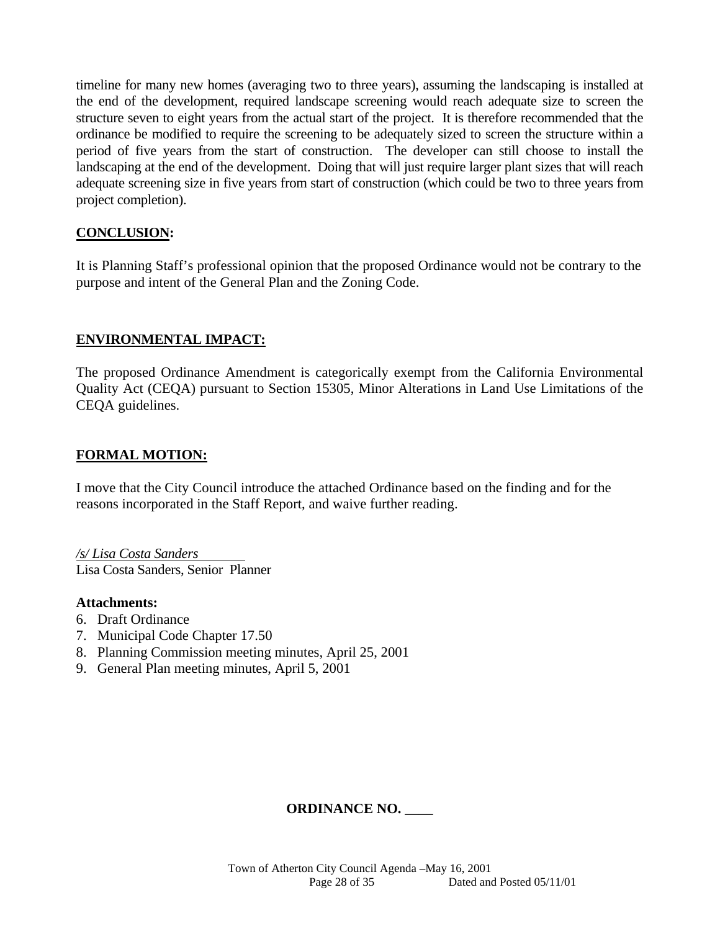timeline for many new homes (averaging two to three years), assuming the landscaping is installed at the end of the development, required landscape screening would reach adequate size to screen the structure seven to eight years from the actual start of the project. It is therefore recommended that the ordinance be modified to require the screening to be adequately sized to screen the structure within a period of five years from the start of construction. The developer can still choose to install the landscaping at the end of the development. Doing that will just require larger plant sizes that will reach adequate screening size in five years from start of construction (which could be two to three years from project completion).

## **CONCLUSION:**

It is Planning Staff's professional opinion that the proposed Ordinance would not be contrary to the purpose and intent of the General Plan and the Zoning Code.

## **ENVIRONMENTAL IMPACT:**

The proposed Ordinance Amendment is categorically exempt from the California Environmental Quality Act (CEQA) pursuant to Section 15305, Minor Alterations in Land Use Limitations of the CEQA guidelines.

## **FORMAL MOTION:**

I move that the City Council introduce the attached Ordinance based on the finding and for the reasons incorporated in the Staff Report, and waive further reading.

*/s/ Lisa Costa Sanders* Lisa Costa Sanders, Senior Planner

#### **Attachments:**

- 6. Draft Ordinance
- 7. Municipal Code Chapter 17.50
- 8. Planning Commission meeting minutes, April 25, 2001
- 9. General Plan meeting minutes, April 5, 2001

## **ORDINANCE NO.** \_\_\_\_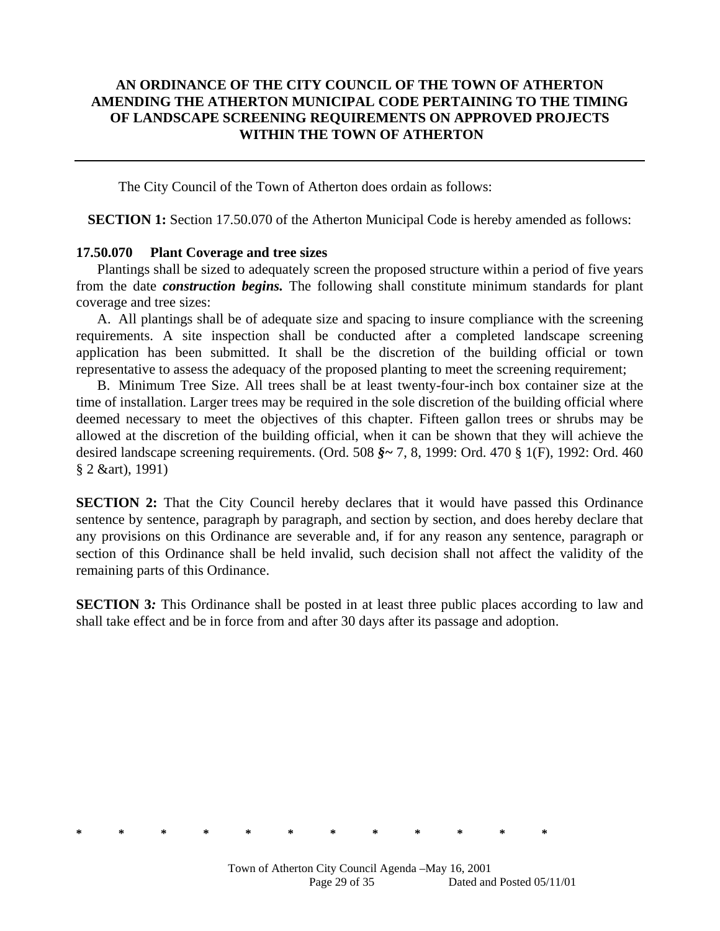#### **AN ORDINANCE OF THE CITY COUNCIL OF THE TOWN OF ATHERTON AMENDING THE ATHERTON MUNICIPAL CODE PERTAINING TO THE TIMING OF LANDSCAPE SCREENING REQUIREMENTS ON APPROVED PROJECTS WITHIN THE TOWN OF ATHERTON**

The City Council of the Town of Atherton does ordain as follows:

**SECTION 1:** Section 17.50.070 of the Atherton Municipal Code is hereby amended as follows:

#### **17.50.070 Plant Coverage and tree sizes**

Plantings shall be sized to adequately screen the proposed structure within a period of five years from the date *construction begins.* The following shall constitute minimum standards for plant coverage and tree sizes:

A. All plantings shall be of adequate size and spacing to insure compliance with the screening requirements. A site inspection shall be conducted after a completed landscape screening application has been submitted. It shall be the discretion of the building official or town representative to assess the adequacy of the proposed planting to meet the screening requirement;

B. Minimum Tree Size. All trees shall be at least twenty-four-inch box container size at the time of installation. Larger trees may be required in the sole discretion of the building official where deemed necessary to meet the objectives of this chapter. Fifteen gallon trees or shrubs may be allowed at the discretion of the building official, when it can be shown that they will achieve the desired landscape screening requirements. (Ord. 508 *§~* 7, 8, 1999: Ord. 470 § 1(F), 1992: Ord. 460 § 2 &art), 1991)

**SECTION 2:** That the City Council hereby declares that it would have passed this Ordinance sentence by sentence, paragraph by paragraph, and section by section, and does hereby declare that any provisions on this Ordinance are severable and, if for any reason any sentence, paragraph or section of this Ordinance shall be held invalid, such decision shall not affect the validity of the remaining parts of this Ordinance.

**SECTION 3***:* This Ordinance shall be posted in at least three public places according to law and shall take effect and be in force from and after 30 days after its passage and adoption.

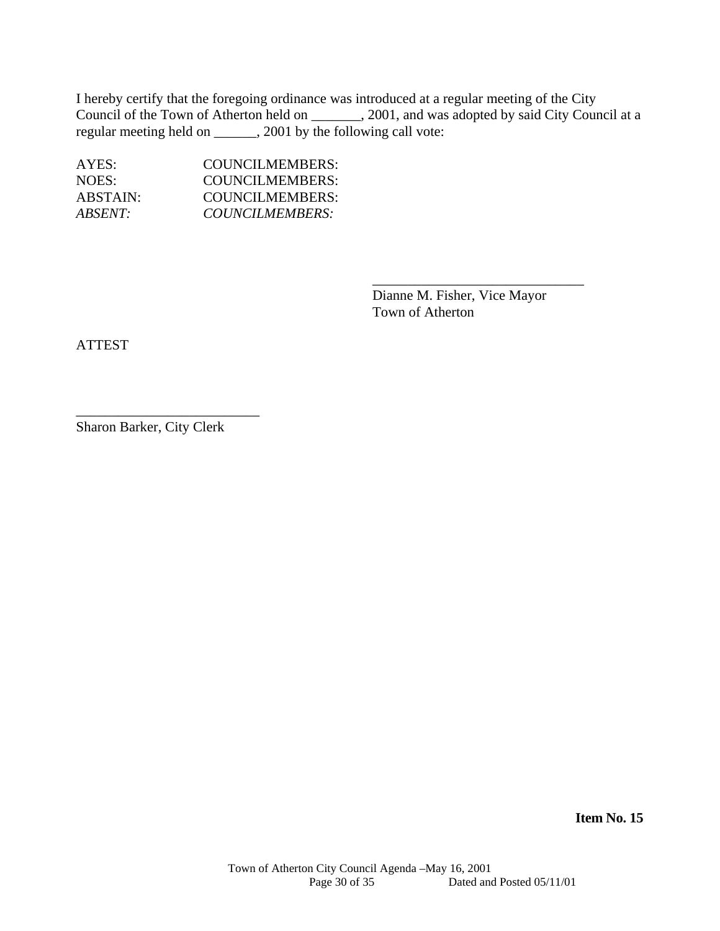I hereby certify that the foregoing ordinance was introduced at a regular meeting of the City Council of the Town of Atherton held on \_\_\_\_\_\_\_, 2001, and was adopted by said City Council at a regular meeting held on \_\_\_\_\_\_, 2001 by the following call vote:

 $\overline{\phantom{a}}$  , and the contract of the contract of the contract of the contract of the contract of the contract of the contract of the contract of the contract of the contract of the contract of the contract of the contrac

| AYES:    | COUNCILMEMBERS: |
|----------|-----------------|
| NOES:    | COUNCILMEMBERS: |
| ABSTAIN: | COUNCILMEMBERS: |
| ABSENT:  | COUNCILMEMBERS: |

 Dianne M. Fisher, Vice Mayor Town of Atherton

ATTEST

Sharon Barker, City Clerk

\_\_\_\_\_\_\_\_\_\_\_\_\_\_\_\_\_\_\_\_\_\_\_\_\_\_

**Item No. 15**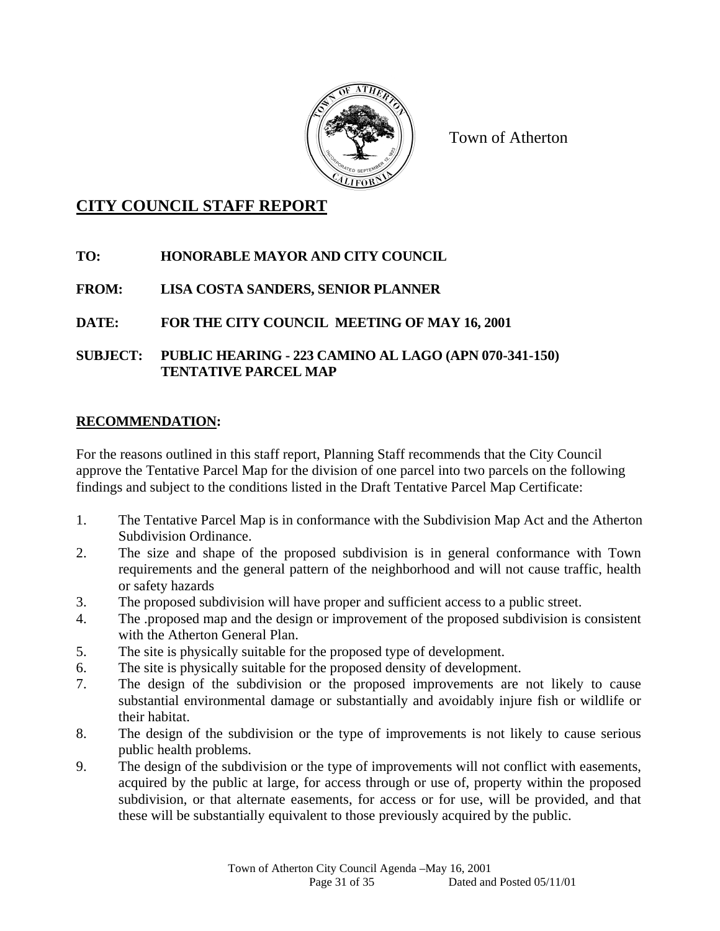

Town of Atherton

# **CITY COUNCIL STAFF REPORT**

# **TO: HONORABLE MAYOR AND CITY COUNCIL**

# **FROM: LISA COSTA SANDERS, SENIOR PLANNER**

# **DATE: FOR THE CITY COUNCIL MEETING OF MAY 16, 2001**

## **SUBJECT: PUBLIC HEARING - 223 CAMINO AL LAGO (APN 070-341-150) TENTATIVE PARCEL MAP**

## **RECOMMENDATION:**

For the reasons outlined in this staff report, Planning Staff recommends that the City Council approve the Tentative Parcel Map for the division of one parcel into two parcels on the following findings and subject to the conditions listed in the Draft Tentative Parcel Map Certificate:

- 1. The Tentative Parcel Map is in conformance with the Subdivision Map Act and the Atherton Subdivision Ordinance.
- 2. The size and shape of the proposed subdivision is in general conformance with Town requirements and the general pattern of the neighborhood and will not cause traffic, health or safety hazards
- 3. The proposed subdivision will have proper and sufficient access to a public street.
- 4. The .proposed map and the design or improvement of the proposed subdivision is consistent with the Atherton General Plan.
- 5. The site is physically suitable for the proposed type of development.
- 6. The site is physically suitable for the proposed density of development.
- 7. The design of the subdivision or the proposed improvements are not likely to cause substantial environmental damage or substantially and avoidably injure fish or wildlife or their habitat.
- 8. The design of the subdivision or the type of improvements is not likely to cause serious public health problems.
- 9. The design of the subdivision or the type of improvements will not conflict with easements, acquired by the public at large, for access through or use of, property within the proposed subdivision, or that alternate easements, for access or for use, will be provided, and that these will be substantially equivalent to those previously acquired by the public.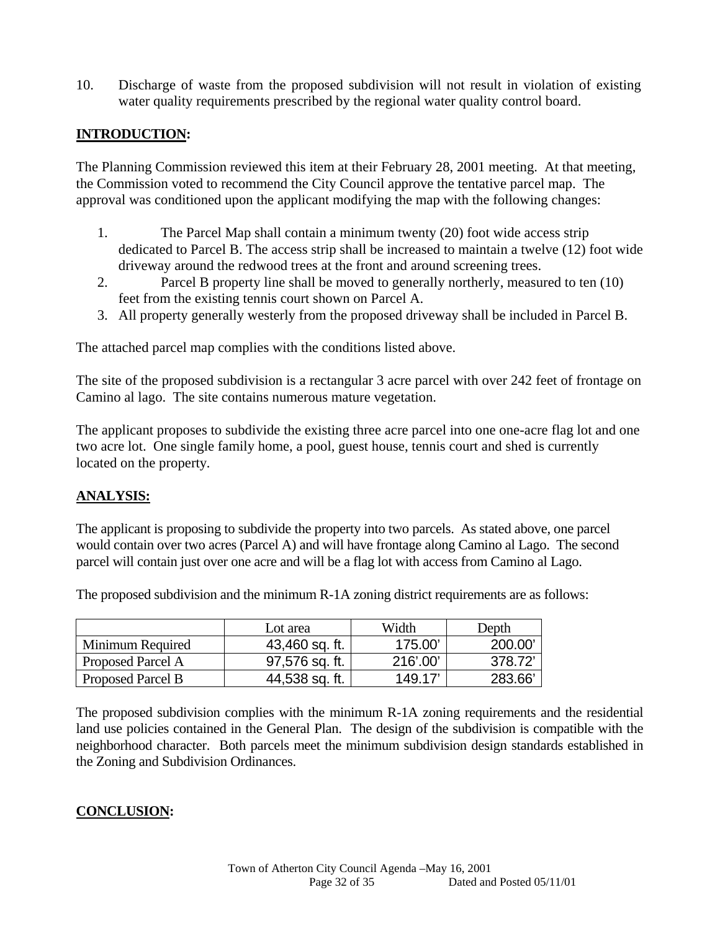10. Discharge of waste from the proposed subdivision will not result in violation of existing water quality requirements prescribed by the regional water quality control board.

## **INTRODUCTION:**

The Planning Commission reviewed this item at their February 28, 2001 meeting. At that meeting, the Commission voted to recommend the City Council approve the tentative parcel map. The approval was conditioned upon the applicant modifying the map with the following changes:

- 1. The Parcel Map shall contain a minimum twenty (20) foot wide access strip dedicated to Parcel B. The access strip shall be increased to maintain a twelve (12) foot wide driveway around the redwood trees at the front and around screening trees.
- 2. Parcel B property line shall be moved to generally northerly, measured to ten (10) feet from the existing tennis court shown on Parcel A.
- 3. All property generally westerly from the proposed driveway shall be included in Parcel B.

The attached parcel map complies with the conditions listed above.

The site of the proposed subdivision is a rectangular 3 acre parcel with over 242 feet of frontage on Camino al lago. The site contains numerous mature vegetation.

The applicant proposes to subdivide the existing three acre parcel into one one-acre flag lot and one two acre lot. One single family home, a pool, guest house, tennis court and shed is currently located on the property*.* 

#### **ANALYSIS:**

The applicant is proposing to subdivide the property into two parcels. As stated above, one parcel would contain over two acres (Parcel A) and will have frontage along Camino al Lago. The second parcel will contain just over one acre and will be a flag lot with access from Camino al Lago.

Lot area  $\qquad$  Width Depth Minimum Required | 43,460 sq. ft. | 175.00' | 200.00' Proposed Parcel A 1 97,576 sq. ft. 216'.00' 378.72'

Proposed Parcel B 44,538 sq. ft. 149.17' 283.66'

The proposed subdivision and the minimum R-1A zoning district requirements are as follows:

The proposed subdivision complies with the minimum R-1A zoning requirements and the residential land use policies contained in the General Plan. The design of the subdivision is compatible with the neighborhood character. Both parcels meet the minimum subdivision design standards established in the Zoning and Subdivision Ordinances.

## **CONCLUSION:**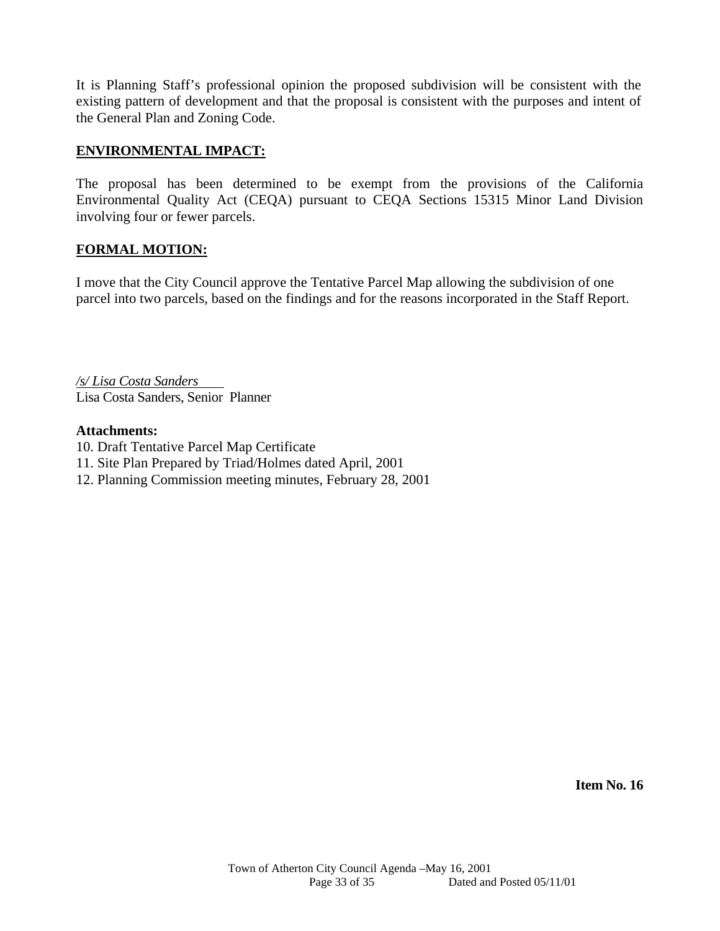It is Planning Staff's professional opinion the proposed subdivision will be consistent with the existing pattern of development and that the proposal is consistent with the purposes and intent of the General Plan and Zoning Code.

#### **ENVIRONMENTAL IMPACT:**

The proposal has been determined to be exempt from the provisions of the California Environmental Quality Act (CEQA) pursuant to CEQA Sections 15315 Minor Land Division involving four or fewer parcels.

## **FORMAL MOTION:**

I move that the City Council approve the Tentative Parcel Map allowing the subdivision of one parcel into two parcels, based on the findings and for the reasons incorporated in the Staff Report.

*/s/ Lisa Costa Sanders* Lisa Costa Sanders, Senior Planner

#### **Attachments:**

- 10. Draft Tentative Parcel Map Certificate
- 11. Site Plan Prepared by Triad/Holmes dated April, 2001
- 12. Planning Commission meeting minutes, February 28, 2001

**Item No. 16**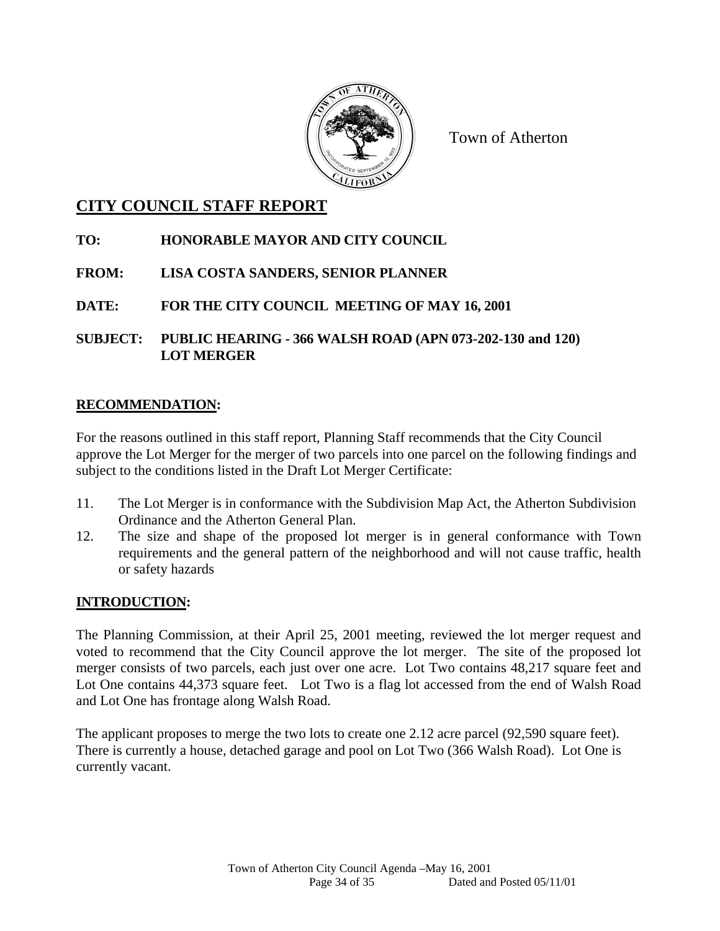

Town of Atherton

# **CITY COUNCIL STAFF REPORT**

# **TO: HONORABLE MAYOR AND CITY COUNCIL**

# **FROM: LISA COSTA SANDERS, SENIOR PLANNER**

**DATE: FOR THE CITY COUNCIL MEETING OF MAY 16, 2001** 

**SUBJECT: PUBLIC HEARING - 366 WALSH ROAD (APN 073-202-130 and 120) LOT MERGER** 

## **RECOMMENDATION:**

For the reasons outlined in this staff report, Planning Staff recommends that the City Council approve the Lot Merger for the merger of two parcels into one parcel on the following findings and subject to the conditions listed in the Draft Lot Merger Certificate:

- 11. The Lot Merger is in conformance with the Subdivision Map Act, the Atherton Subdivision Ordinance and the Atherton General Plan.
- 12. The size and shape of the proposed lot merger is in general conformance with Town requirements and the general pattern of the neighborhood and will not cause traffic, health or safety hazards

# **INTRODUCTION:**

The Planning Commission, at their April 25, 2001 meeting, reviewed the lot merger request and voted to recommend that the City Council approve the lot merger. The site of the proposed lot merger consists of two parcels, each just over one acre. Lot Two contains 48,217 square feet and Lot One contains 44,373 square feet. Lot Two is a flag lot accessed from the end of Walsh Road and Lot One has frontage along Walsh Road.

The applicant proposes to merge the two lots to create one 2.12 acre parcel (92,590 square feet). There is currently a house, detached garage and pool on Lot Two (366 Walsh Road). Lot One is currently vacant.